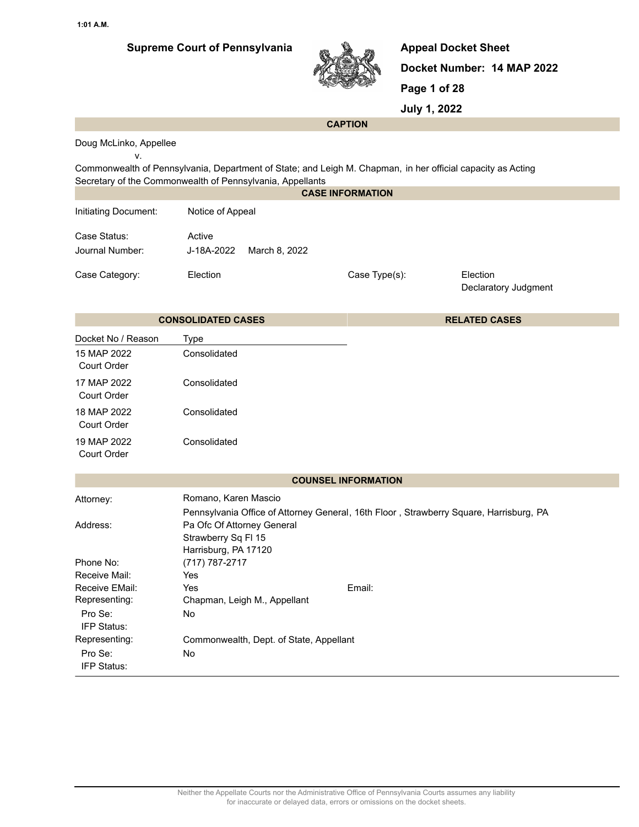

**Appeal Docket Sheet Docket Number: 14 MAP 2022 Page 1 of 28**

**July 1, 2022**

#### **CAPTION**

Doug McLinko, Appellee

v.

Commonwealth of Pennsylvania, Department of State; and Leigh M. Chapman, in her official capacity as Acting Secretary of the Commonwealth of Pennsylvania, Appellants

|                                         |                                                                                                                | <b>CASE INFORMATION</b>    |                                  |
|-----------------------------------------|----------------------------------------------------------------------------------------------------------------|----------------------------|----------------------------------|
| Initiating Document:                    | Notice of Appeal                                                                                               |                            |                                  |
| Case Status:<br>Journal Number:         | Active<br>J-18A-2022<br>March 8, 2022                                                                          |                            |                                  |
| Case Category:                          | Election                                                                                                       | Case Type(s):              | Election<br>Declaratory Judgment |
|                                         | <b>CONSOLIDATED CASES</b>                                                                                      |                            | <b>RELATED CASES</b>             |
| Docket No / Reason                      | <b>Type</b>                                                                                                    |                            |                                  |
| 15 MAP 2022<br>Court Order              | Consolidated                                                                                                   |                            |                                  |
| 17 MAP 2022<br>Court Order              | Consolidated                                                                                                   |                            |                                  |
| 18 MAP 2022<br>Court Order              | Consolidated                                                                                                   |                            |                                  |
| 19 MAP 2022<br>Court Order              | Consolidated                                                                                                   |                            |                                  |
|                                         |                                                                                                                | <b>COUNSEL INFORMATION</b> |                                  |
| Attorney:                               | Romano, Karen Mascio<br>Pennsylvania Office of Attorney General, 16th Floor, Strawberry Square, Harrisburg, PA |                            |                                  |
| Address:                                | Pa Ofc Of Attorney General<br>Strawberry Sq FI 15<br>Harrisburg, PA 17120                                      |                            |                                  |
| Phone No:                               | (717) 787-2717                                                                                                 |                            |                                  |
| Receive Mail:                           | Yes                                                                                                            |                            |                                  |
| Receive EMail:                          | Yes                                                                                                            | Email:                     |                                  |
| Representing:<br>Pro Se:<br>IFP Status: | Chapman, Leigh M., Appellant<br>No                                                                             |                            |                                  |
| Representing:                           | Commonwealth, Dept. of State, Appellant                                                                        |                            |                                  |
| Pro Se:<br>IFP Status:                  | No                                                                                                             |                            |                                  |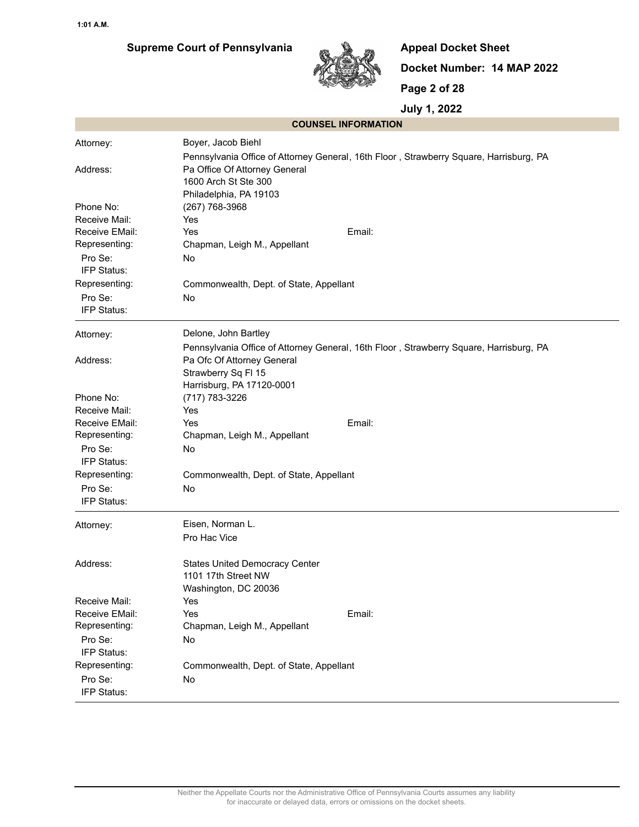# **Supreme Court of Pennsylvania**



**Appeal Docket Sheet Docket Number: 14 MAP 2022 Page 2 of 28**

| <b>COUNSEL INFORMATION</b> |                                                                                                                                                 |
|----------------------------|-------------------------------------------------------------------------------------------------------------------------------------------------|
| Attorney:                  | Boyer, Jacob Biehl                                                                                                                              |
| Address:                   | Pennsylvania Office of Attorney General, 16th Floor, Strawberry Square, Harrisburg, PA<br>Pa Office Of Attorney General<br>1600 Arch St Ste 300 |
|                            | Philadelphia, PA 19103                                                                                                                          |
| Phone No:                  | (267) 768-3968                                                                                                                                  |
| Receive Mail:              | Yes                                                                                                                                             |
| Receive EMail:             | Yes<br>Email:                                                                                                                                   |
| Representing:              | Chapman, Leigh M., Appellant                                                                                                                    |
| Pro Se:<br>IFP Status:     | No                                                                                                                                              |
| Representing:              | Commonwealth, Dept. of State, Appellant                                                                                                         |
| Pro Se:<br>IFP Status:     | No                                                                                                                                              |
| Attorney:                  | Delone, John Bartley                                                                                                                            |
|                            | Pennsylvania Office of Attorney General, 16th Floor, Strawberry Square, Harrisburg, PA                                                          |
| Address:                   | Pa Ofc Of Attorney General                                                                                                                      |
|                            | Strawberry Sq FI 15                                                                                                                             |
|                            | Harrisburg, PA 17120-0001                                                                                                                       |
| Phone No:<br>Receive Mail: | (717) 783-3226<br>Yes                                                                                                                           |
| Receive EMail:             | Email:<br>Yes                                                                                                                                   |
| Representing:              | Chapman, Leigh M., Appellant                                                                                                                    |
| Pro Se:                    | No                                                                                                                                              |
| IFP Status:                |                                                                                                                                                 |
| Representing:              | Commonwealth, Dept. of State, Appellant                                                                                                         |
| Pro Se:                    | No                                                                                                                                              |
| IFP Status:                |                                                                                                                                                 |
| Attorney:                  | Eisen, Norman L.                                                                                                                                |
|                            | Pro Hac Vice                                                                                                                                    |
| Address:                   | <b>States United Democracy Center</b>                                                                                                           |
|                            | 1101 17th Street NW                                                                                                                             |
|                            | Washington, DC 20036                                                                                                                            |
| Receive Mail:              | Yes                                                                                                                                             |
| Receive EMail:             | Email:<br>Yes                                                                                                                                   |
| Representing:              | Chapman, Leigh M., Appellant                                                                                                                    |
| Pro Se:<br>IFP Status:     | No                                                                                                                                              |
| Representing:              | Commonwealth, Dept. of State, Appellant                                                                                                         |
| Pro Se:                    | No                                                                                                                                              |
| IFP Status:                |                                                                                                                                                 |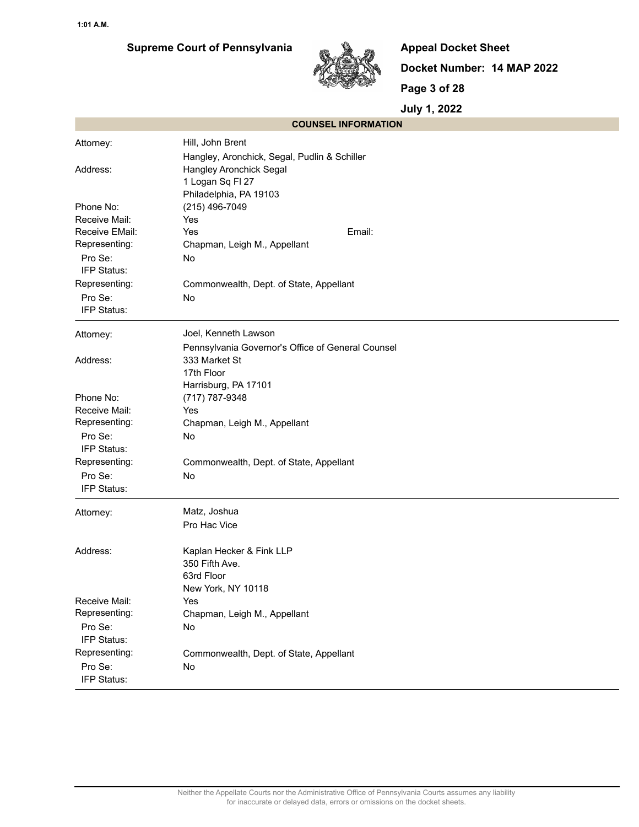# **Supreme Court of Pennsylvania**



**Appeal Docket Sheet Docket Number: 14 MAP 2022 Page 3 of 28**

|                | <b>COUNSEL INFORMATION</b>                        |
|----------------|---------------------------------------------------|
| Attorney:      | Hill, John Brent                                  |
|                | Hangley, Aronchick, Segal, Pudlin & Schiller      |
| Address:       | Hangley Aronchick Segal                           |
|                | 1 Logan Sq Fl 27                                  |
|                | Philadelphia, PA 19103                            |
| Phone No:      | (215) 496-7049                                    |
| Receive Mail:  | Yes                                               |
| Receive EMail: | Email:<br>Yes                                     |
| Representing:  | Chapman, Leigh M., Appellant                      |
| Pro Se:        | No                                                |
| IFP Status:    |                                                   |
| Representing:  | Commonwealth, Dept. of State, Appellant           |
| Pro Se:        | No                                                |
| IFP Status:    |                                                   |
| Attorney:      | Joel, Kenneth Lawson                              |
|                | Pennsylvania Governor's Office of General Counsel |
| Address:       | 333 Market St                                     |
|                | 17th Floor                                        |
|                | Harrisburg, PA 17101                              |
| Phone No:      | (717) 787-9348                                    |
| Receive Mail:  | Yes                                               |
| Representing:  | Chapman, Leigh M., Appellant                      |
| Pro Se:        | No                                                |
| IFP Status:    |                                                   |
| Representing:  | Commonwealth, Dept. of State, Appellant           |
| Pro Se:        | No                                                |
| IFP Status:    |                                                   |
| Attorney:      | Matz, Joshua                                      |
|                | Pro Hac Vice                                      |
| Address:       | Kaplan Hecker & Fink LLP                          |
|                | 350 Fifth Ave.                                    |
|                | 63rd Floor                                        |
|                | New York, NY 10118                                |
| Receive Mail:  | Yes                                               |
| Representing:  | Chapman, Leigh M., Appellant                      |
| Pro Se:        | No                                                |
| IFP Status:    |                                                   |
| Representing:  | Commonwealth, Dept. of State, Appellant           |
| Pro Se:        | No                                                |
| IFP Status:    |                                                   |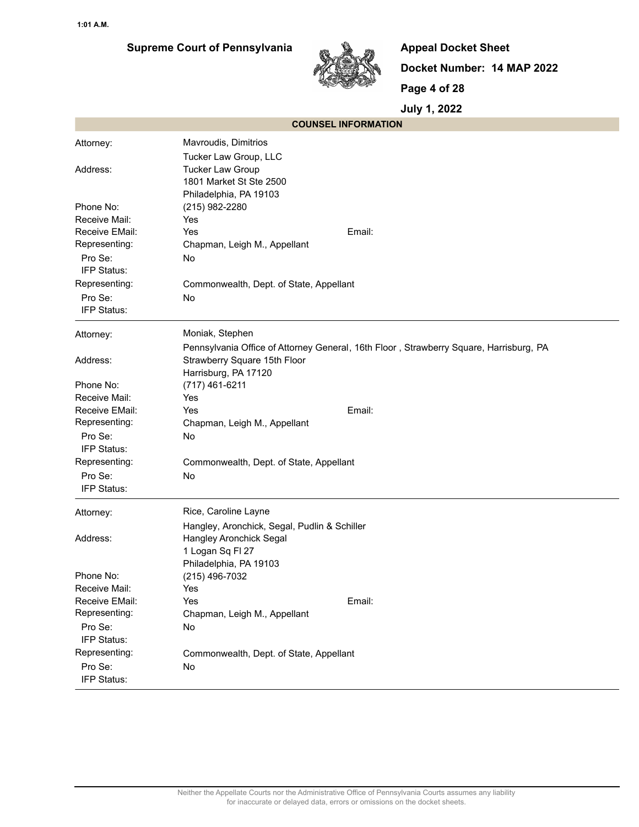

**Appeal Docket Sheet Docket Number: 14 MAP 2022 Page 4 of 28**

| <b>COUNSEL INFORMATION</b> |                                                                                        |
|----------------------------|----------------------------------------------------------------------------------------|
| Attorney:                  | Mavroudis, Dimitrios                                                                   |
|                            | Tucker Law Group, LLC                                                                  |
| Address:                   | <b>Tucker Law Group</b>                                                                |
|                            | 1801 Market St Ste 2500                                                                |
|                            | Philadelphia, PA 19103                                                                 |
| Phone No:                  | (215) 982-2280                                                                         |
| Receive Mail:              | Yes                                                                                    |
| Receive EMail:             | Yes<br>Email:                                                                          |
| Representing:              | Chapman, Leigh M., Appellant                                                           |
| Pro Se:                    | No                                                                                     |
| IFP Status:                |                                                                                        |
| Representing:              | Commonwealth, Dept. of State, Appellant                                                |
| Pro Se:                    | No                                                                                     |
| IFP Status:                |                                                                                        |
| Attorney:                  | Moniak, Stephen                                                                        |
|                            | Pennsylvania Office of Attorney General, 16th Floor, Strawberry Square, Harrisburg, PA |
| Address:                   | Strawberry Square 15th Floor                                                           |
|                            | Harrisburg, PA 17120                                                                   |
| Phone No:                  | (717) 461-6211                                                                         |
| Receive Mail:              | Yes                                                                                    |
| Receive EMail:             | Email:<br>Yes                                                                          |
| Representing:              | Chapman, Leigh M., Appellant                                                           |
| Pro Se:                    | No                                                                                     |
| IFP Status:                |                                                                                        |
| Representing:              | Commonwealth, Dept. of State, Appellant                                                |
| Pro Se:                    | No                                                                                     |
| IFP Status:                |                                                                                        |
| Attorney:                  | Rice, Caroline Layne                                                                   |
|                            | Hangley, Aronchick, Segal, Pudlin & Schiller                                           |
| Address:                   | Hangley Aronchick Segal                                                                |
|                            | 1 Logan Sq Fl 27                                                                       |
|                            | Philadelphia, PA 19103                                                                 |
| Phone No:                  | (215) 496-7032                                                                         |
| Receive Mail:              | Yes                                                                                    |
| Receive EMail:             | Email:<br>Yes                                                                          |
| Representing:              | Chapman, Leigh M., Appellant                                                           |
| Pro Se:                    | No                                                                                     |
| IFP Status:                |                                                                                        |
| Representing:              | Commonwealth, Dept. of State, Appellant                                                |
| Pro Se:                    | No                                                                                     |
| IFP Status:                |                                                                                        |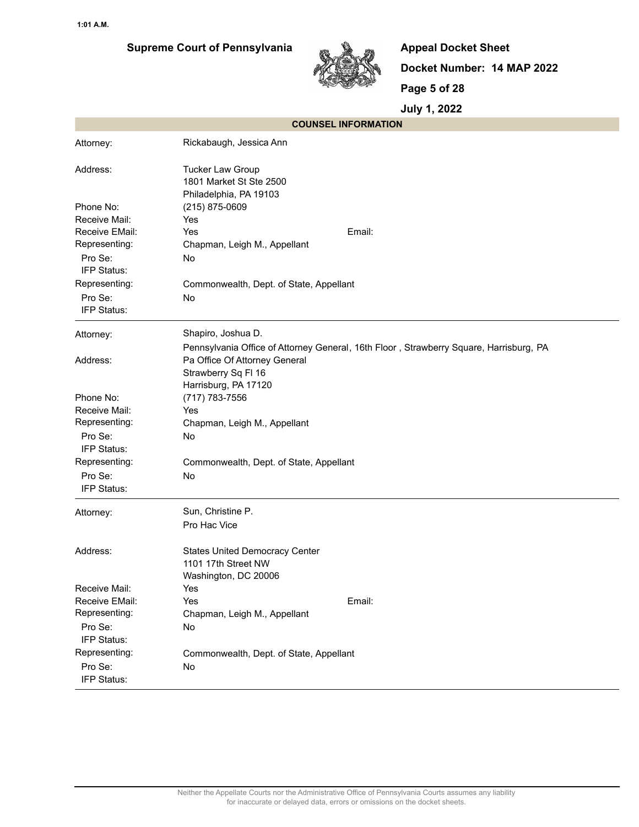

**Appeal Docket Sheet Docket Number: 14 MAP 2022 Page 5 of 28**

|                        | <b>COUNSEL INFORMATION</b>                                                             |
|------------------------|----------------------------------------------------------------------------------------|
| Attorney:              | Rickabaugh, Jessica Ann                                                                |
| Address:               | <b>Tucker Law Group</b><br>1801 Market St Ste 2500<br>Philadelphia, PA 19103           |
| Phone No:              | (215) 875-0609                                                                         |
| Receive Mail:          | Yes                                                                                    |
| Receive EMail:         | Yes<br>Email:                                                                          |
| Representing:          | Chapman, Leigh M., Appellant                                                           |
| Pro Se:<br>IFP Status: | No                                                                                     |
| Representing:          | Commonwealth, Dept. of State, Appellant                                                |
| Pro Se:                | No                                                                                     |
| IFP Status:            |                                                                                        |
| Attorney:              | Shapiro, Joshua D.                                                                     |
|                        | Pennsylvania Office of Attorney General, 16th Floor, Strawberry Square, Harrisburg, PA |
| Address:               | Pa Office Of Attorney General                                                          |
|                        | Strawberry Sq FI 16                                                                    |
|                        | Harrisburg, PA 17120                                                                   |
| Phone No:              | (717) 783-7556                                                                         |
| Receive Mail:          | Yes                                                                                    |
| Representing:          | Chapman, Leigh M., Appellant                                                           |
| Pro Se:                | No                                                                                     |
| IFP Status:            |                                                                                        |
| Representing:          | Commonwealth, Dept. of State, Appellant                                                |
| Pro Se:                | <b>No</b>                                                                              |
| IFP Status:            |                                                                                        |
| Attorney:              | Sun, Christine P.                                                                      |
|                        | Pro Hac Vice                                                                           |
| Address:               | <b>States United Democracy Center</b>                                                  |
|                        | 1101 17th Street NW                                                                    |
|                        | Washington, DC 20006                                                                   |
| Receive Mail:          | Yes                                                                                    |
| Receive EMail:         | Email:<br>Yes                                                                          |
| Representing:          | Chapman, Leigh M., Appellant                                                           |
| Pro Se:                | No                                                                                     |
| IFP Status:            |                                                                                        |
| Representing:          | Commonwealth, Dept. of State, Appellant                                                |
| Pro Se:                | No                                                                                     |
| IFP Status:            |                                                                                        |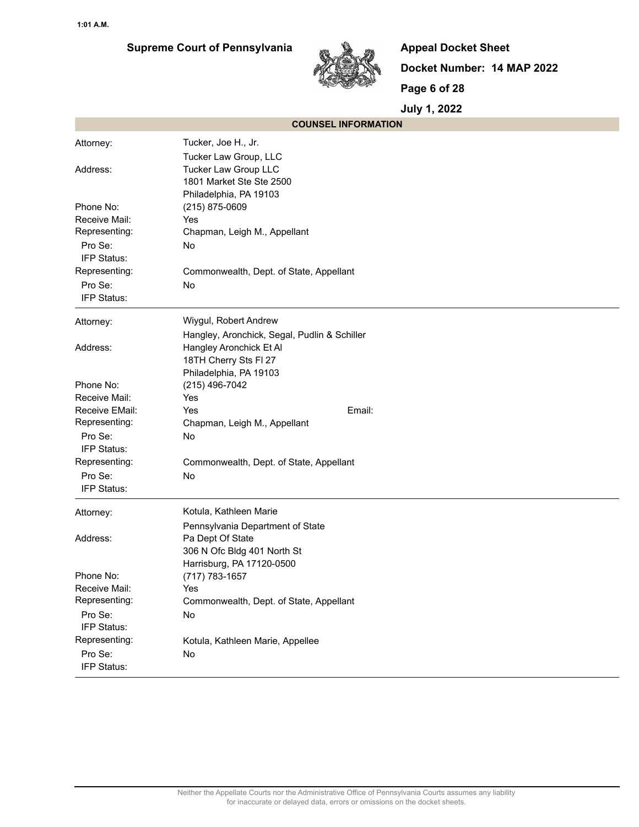

**Appeal Docket Sheet Docket Number: 14 MAP 2022 Page 6 of 28**

|                | <b>COUNSEL INFORMATION</b>                   |
|----------------|----------------------------------------------|
| Attorney:      | Tucker, Joe H., Jr.                          |
|                | Tucker Law Group, LLC                        |
| Address:       | Tucker Law Group LLC                         |
|                | 1801 Market Ste Ste 2500                     |
|                | Philadelphia, PA 19103                       |
| Phone No:      | (215) 875-0609                               |
| Receive Mail:  | Yes                                          |
| Representing:  | Chapman, Leigh M., Appellant                 |
| Pro Se:        | No                                           |
| IFP Status:    |                                              |
| Representing:  | Commonwealth, Dept. of State, Appellant      |
| Pro Se:        | No                                           |
| IFP Status:    |                                              |
| Attorney:      | Wiygul, Robert Andrew                        |
|                | Hangley, Aronchick, Segal, Pudlin & Schiller |
| Address:       | Hangley Aronchick Et Al                      |
|                | 18TH Cherry Sts FI 27                        |
|                | Philadelphia, PA 19103                       |
| Phone No:      | (215) 496-7042                               |
| Receive Mail:  | Yes                                          |
| Receive EMail: | Yes<br>Email:                                |
| Representing:  | Chapman, Leigh M., Appellant                 |
| Pro Se:        | No                                           |
| IFP Status:    |                                              |
| Representing:  | Commonwealth, Dept. of State, Appellant      |
| Pro Se:        | No                                           |
| IFP Status:    |                                              |
| Attorney:      | Kotula, Kathleen Marie                       |
|                | Pennsylvania Department of State             |
| Address:       | Pa Dept Of State                             |
|                | 306 N Ofc Bldg 401 North St                  |
|                | Harrisburg, PA 17120-0500                    |
| Phone No:      | (717) 783-1657                               |
| Receive Mail:  | Yes                                          |
| Representing:  | Commonwealth, Dept. of State, Appellant      |
| Pro Se:        | No                                           |
| IFP Status:    |                                              |
| Representing:  | Kotula, Kathleen Marie, Appellee             |
| Pro Se:        | No                                           |
| IFP Status:    |                                              |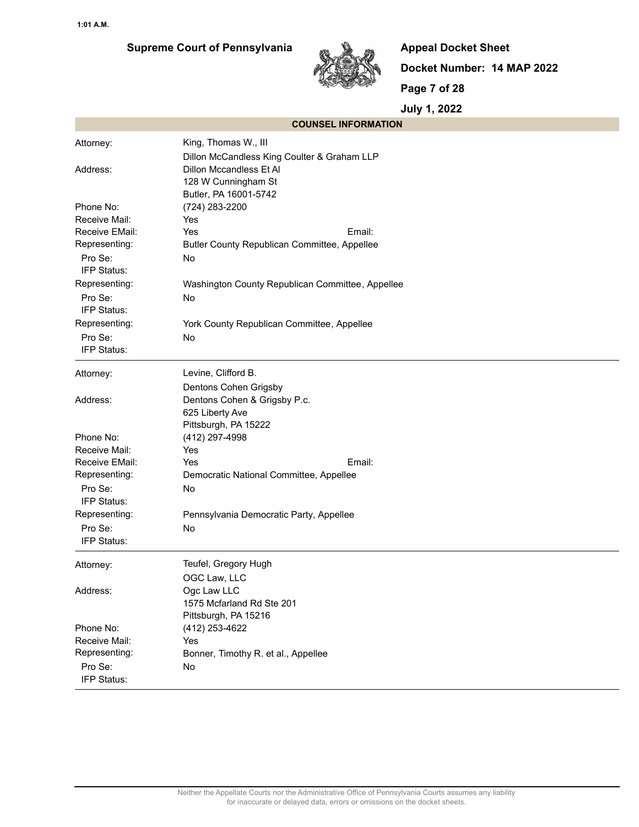

**Appeal Docket Sheet Docket Number: 14 MAP 2022 Page 7 of 28**

| <b>COUNSEL INFORMATION</b> |                                                  |
|----------------------------|--------------------------------------------------|
| Attorney:                  | King, Thomas W., III                             |
|                            | Dillon McCandless King Coulter & Graham LLP      |
| Address:                   | Dillon Mccandless Et Al                          |
|                            | 128 W Cunningham St                              |
|                            | Butler, PA 16001-5742                            |
| Phone No:                  | (724) 283-2200                                   |
| Receive Mail:              | Yes                                              |
| Receive EMail:             | Yes<br>Email:                                    |
| Representing:              | Butler County Republican Committee, Appellee     |
| Pro Se:                    | No                                               |
| IFP Status:                |                                                  |
| Representing:              | Washington County Republican Committee, Appellee |
| Pro Se:<br>IFP Status:     | No                                               |
| Representing:              | York County Republican Committee, Appellee       |
| Pro Se:                    | No                                               |
| IFP Status:                |                                                  |
| Attorney:                  | Levine, Clifford B.                              |
|                            | Dentons Cohen Grigsby                            |
| Address:                   | Dentons Cohen & Grigsby P.c.                     |
|                            | 625 Liberty Ave                                  |
|                            | Pittsburgh, PA 15222                             |
| Phone No:                  | (412) 297-4998                                   |
| Receive Mail:              | Yes                                              |
| Receive EMail:             | Yes<br>Email:                                    |
| Representing:              | Democratic National Committee, Appellee          |
| Pro Se:<br>IFP Status:     | No                                               |
| Representing:              | Pennsylvania Democratic Party, Appellee          |
| Pro Se:                    | No                                               |
| IFP Status:                |                                                  |
| Attorney:                  | Teufel, Gregory Hugh                             |
|                            | OGC Law, LLC                                     |
| Address:                   | Ogc Law LLC                                      |
|                            | 1575 Mcfarland Rd Ste 201                        |
|                            | Pittsburgh, PA 15216                             |
| Phone No:                  | (412) 253-4622                                   |
| Receive Mail:              | Yes                                              |
| Representing:              | Bonner, Timothy R. et al., Appellee              |
| Pro Se:                    | No                                               |
| IFP Status:                |                                                  |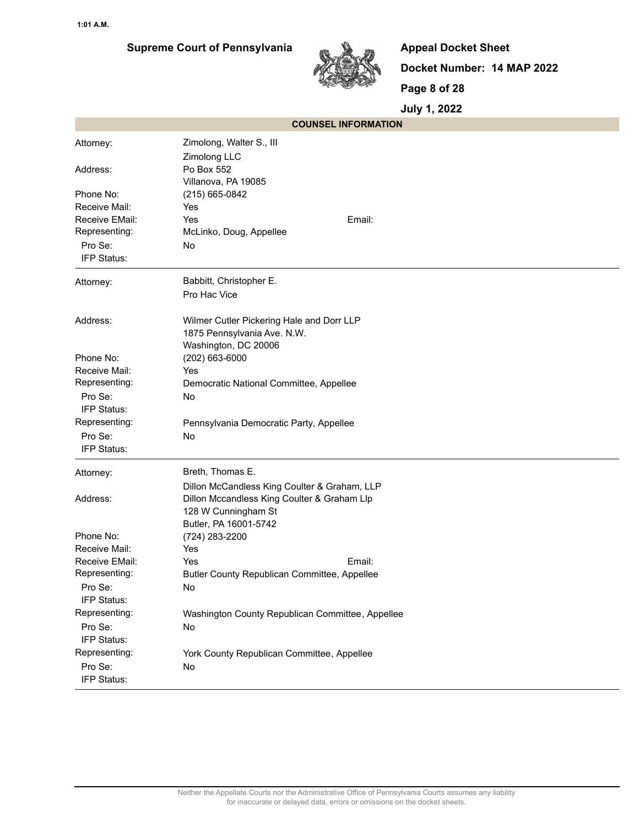

**Appeal Docket Sheet Docket Number: 14 MAP 2022 Page 8 of 28**

|                        | <b>COUNSEL INFORMATION</b>                       |
|------------------------|--------------------------------------------------|
| Attorney:              | Zimolong, Walter S., III                         |
|                        | Zimolong LLC                                     |
| Address:               | Po Box 552                                       |
|                        | Villanova, PA 19085                              |
| Phone No:              | (215) 665-0842                                   |
| Receive Mail:          | Yes                                              |
| Receive EMail:         | Yes<br>Email:                                    |
| Representing:          | McLinko, Doug, Appellee                          |
| Pro Se:                | No                                               |
| IFP Status:            |                                                  |
| Attorney:              | Babbitt, Christopher E.                          |
|                        | Pro Hac Vice                                     |
| Address:               | Wilmer Cutler Pickering Hale and Dorr LLP        |
|                        | 1875 Pennsylvania Ave. N.W.                      |
|                        | Washington, DC 20006                             |
| Phone No:              | (202) 663-6000                                   |
| Receive Mail:          | Yes                                              |
| Representing:          | Democratic National Committee, Appellee          |
| Pro Se:                | No.                                              |
| IFP Status:            |                                                  |
| Representing:          | Pennsylvania Democratic Party, Appellee          |
| Pro Se:                | No                                               |
| IFP Status:            |                                                  |
| Attorney:              | Breth, Thomas E.                                 |
|                        | Dillon McCandless King Coulter & Graham, LLP     |
| Address:               | Dillon Mccandless King Coulter & Graham Llp      |
|                        | 128 W Cunningham St                              |
|                        | Butler, PA 16001-5742                            |
| Phone No:              | (724) 283-2200                                   |
| Receive Mail:          | Yes                                              |
| Receive EMail:         | Yes<br>Email:                                    |
| Representing:          | Butler County Republican Committee, Appellee     |
| Pro Se:                | No                                               |
| IFP Status:            |                                                  |
| Representing:          | Washington County Republican Committee, Appellee |
| Pro Se:<br>IFP Status: | No                                               |
| Representing:          | York County Republican Committee, Appellee       |
| Pro Se:                | No                                               |
| IFP Status:            |                                                  |
|                        |                                                  |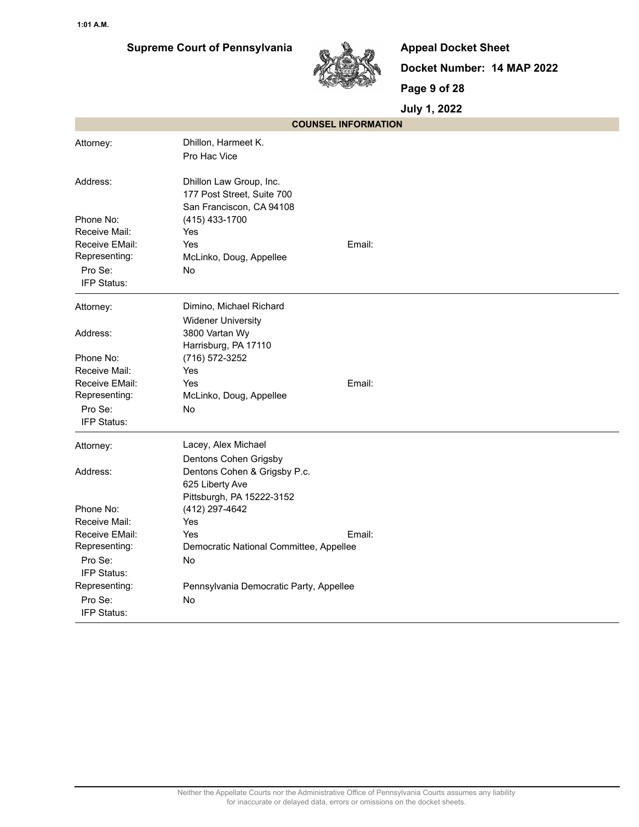

**Appeal Docket Sheet Docket Number: 14 MAP 2022 Page 9 of 28**

| <b>COUNSEL INFORMATION</b>      |                                                                                   |
|---------------------------------|-----------------------------------------------------------------------------------|
| Attorney:                       | Dhillon, Harmeet K.<br>Pro Hac Vice                                               |
| Address:                        | Dhillon Law Group, Inc.<br>177 Post Street, Suite 700<br>San Franciscon, CA 94108 |
| Phone No:                       | (415) 433-1700                                                                    |
| Receive Mail:                   | Yes                                                                               |
| Receive EMail:                  | Email:<br>Yes                                                                     |
| Representing:                   | McLinko, Doug, Appellee                                                           |
| Pro Se:                         | No                                                                                |
| IFP Status:                     |                                                                                   |
| Attorney:                       | Dimino, Michael Richard                                                           |
|                                 | <b>Widener University</b>                                                         |
| Address:                        | 3800 Vartan Wy                                                                    |
|                                 | Harrisburg, PA 17110                                                              |
| Phone No:                       | (716) 572-3252                                                                    |
| Receive Mail:                   | Yes                                                                               |
| Receive EMail:                  | Email:<br>Yes                                                                     |
| Representing:                   | McLinko, Doug, Appellee                                                           |
| Pro Se:                         | No                                                                                |
| IFP Status:                     |                                                                                   |
| Attorney:                       | Lacey, Alex Michael                                                               |
|                                 | Dentons Cohen Grigsby                                                             |
| Address:                        | Dentons Cohen & Grigsby P.c.                                                      |
|                                 | 625 Liberty Ave                                                                   |
|                                 | Pittsburgh, PA 15222-3152                                                         |
| Phone No:                       | (412) 297-4642                                                                    |
| Receive Mail:<br>Receive EMail: | Yes                                                                               |
| Representing:                   | Yes<br>Email:                                                                     |
| Pro Se:                         | Democratic National Committee, Appellee<br>No                                     |
| IFP Status:                     |                                                                                   |
| Representing:                   | Pennsylvania Democratic Party, Appellee                                           |
| Pro Se:                         | No                                                                                |
| IFP Status:                     |                                                                                   |
|                                 |                                                                                   |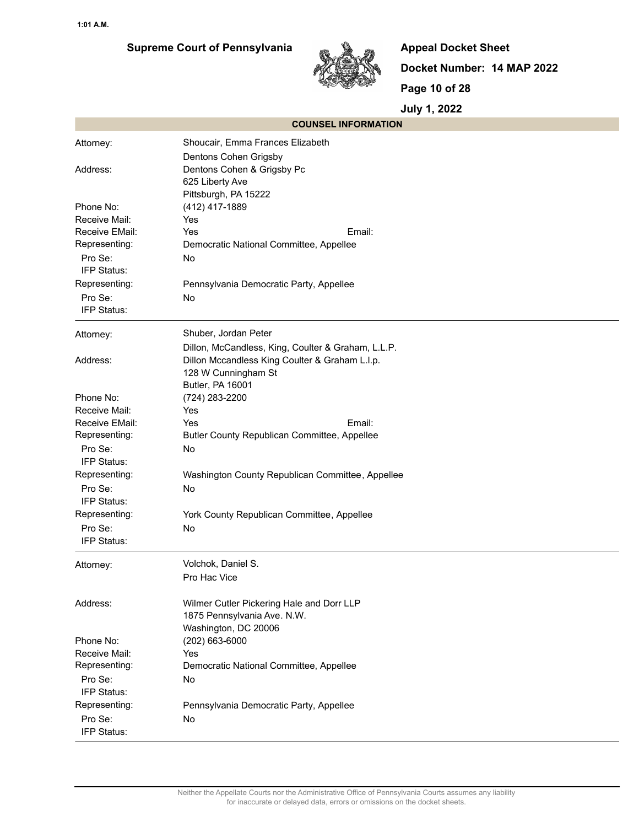

**Appeal Docket Sheet Docket Number: 14 MAP 2022 Page 10 of 28**

| <b>COUNSEL INFORMATION</b>      |                                                    |
|---------------------------------|----------------------------------------------------|
| Attorney:                       | Shoucair, Emma Frances Elizabeth                   |
|                                 | Dentons Cohen Grigsby                              |
| Address:                        | Dentons Cohen & Grigsby Pc                         |
|                                 | 625 Liberty Ave                                    |
|                                 | Pittsburgh, PA 15222                               |
| Phone No:                       | (412) 417-1889                                     |
| Receive Mail:                   | Yes                                                |
| Receive EMail:                  | Yes<br>Email:                                      |
| Representing:                   | Democratic National Committee, Appellee            |
| Pro Se:                         | <b>No</b>                                          |
| IFP Status:                     |                                                    |
| Representing:                   | Pennsylvania Democratic Party, Appellee            |
| Pro Se:<br>IFP Status:          | <b>No</b>                                          |
|                                 |                                                    |
| Attorney:                       | Shuber, Jordan Peter                               |
|                                 | Dillon, McCandless, King, Coulter & Graham, L.L.P. |
| Address:                        | Dillon Mccandless King Coulter & Graham L.I.p.     |
|                                 | 128 W Cunningham St                                |
|                                 | Butler, PA 16001                                   |
| Phone No:                       | (724) 283-2200                                     |
| Receive Mail:                   | Yes                                                |
| Receive EMail:<br>Representing: | Yes<br>Email:                                      |
| Pro Se:                         | Butler County Republican Committee, Appellee<br>No |
| IFP Status:                     |                                                    |
| Representing:                   | Washington County Republican Committee, Appellee   |
| Pro Se:                         | <b>No</b>                                          |
| IFP Status:                     |                                                    |
| Representing:                   | York County Republican Committee, Appellee         |
| Pro Se:                         | No                                                 |
| IFP Status:                     |                                                    |
|                                 | Volchok, Daniel S.                                 |
| Attorney:                       | Pro Hac Vice                                       |
|                                 |                                                    |
| Address:                        | Wilmer Cutler Pickering Hale and Dorr LLP          |
|                                 | 1875 Pennsylvania Ave. N.W.                        |
|                                 | Washington, DC 20006                               |
| Phone No:                       | (202) 663-6000                                     |
| Receive Mail:                   | Yes                                                |
| Representing:                   | Democratic National Committee, Appellee            |
| Pro Se:                         | No                                                 |
| IFP Status:                     |                                                    |
| Representing:                   | Pennsylvania Democratic Party, Appellee            |
| Pro Se:                         | No                                                 |
| IFP Status:                     |                                                    |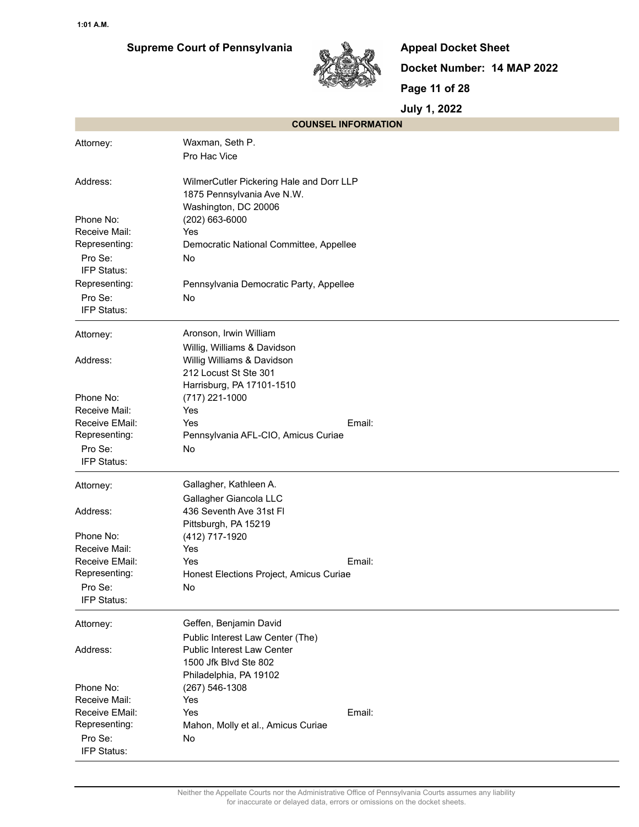

**Appeal Docket Sheet Docket Number: 14 MAP 2022 Page 11 of 28**

|                                 | <b>COUNSEL INFORMATION</b>                                             |
|---------------------------------|------------------------------------------------------------------------|
| Attorney:                       | Waxman, Seth P.                                                        |
|                                 | Pro Hac Vice                                                           |
| Address:                        | WilmerCutler Pickering Hale and Dorr LLP<br>1875 Pennsylvania Ave N.W. |
|                                 | Washington, DC 20006                                                   |
| Phone No:                       | (202) 663-6000                                                         |
| Receive Mail:                   | Yes                                                                    |
| Representing:                   | Democratic National Committee, Appellee                                |
| Pro Se:                         | No                                                                     |
| IFP Status:                     |                                                                        |
| Representing:                   | Pennsylvania Democratic Party, Appellee                                |
| Pro Se:<br>IFP Status:          | No                                                                     |
| Attorney:                       | Aronson, Irwin William                                                 |
|                                 | Willig, Williams & Davidson                                            |
| Address:                        | Willig Williams & Davidson                                             |
|                                 | 212 Locust St Ste 301                                                  |
|                                 | Harrisburg, PA 17101-1510                                              |
| Phone No:<br>Receive Mail:      | (717) 221-1000<br>Yes                                                  |
| Receive EMail:                  | Email:<br>Yes                                                          |
| Representing:                   | Pennsylvania AFL-CIO, Amicus Curiae                                    |
| Pro Se:                         | No                                                                     |
| IFP Status:                     |                                                                        |
| Attorney:                       | Gallagher, Kathleen A.                                                 |
|                                 | Gallagher Giancola LLC                                                 |
| Address:                        | 436 Seventh Ave 31st FI                                                |
|                                 | Pittsburgh, PA 15219                                                   |
| Phone No:                       | (412) 717-1920                                                         |
| Receive Mail:                   | Yes                                                                    |
| Receive EMail:<br>Representing: | Yes<br>Email:                                                          |
|                                 | Honest Elections Project, Amicus Curiae                                |
| Pro Se:<br>IFP Status:          | No                                                                     |
| Attorney:                       | Geffen, Benjamin David                                                 |
|                                 | Public Interest Law Center (The)                                       |
| Address:                        | <b>Public Interest Law Center</b>                                      |
|                                 | 1500 Jfk Blvd Ste 802                                                  |
|                                 | Philadelphia, PA 19102                                                 |
| Phone No:<br>Receive Mail:      | $(267) 546 - 1308$                                                     |
| Receive EMail:                  | Yes<br>Email:<br>Yes                                                   |
| Representing:                   | Mahon, Molly et al., Amicus Curiae                                     |
| Pro Se:                         | No                                                                     |
| IFP Status:                     |                                                                        |
|                                 |                                                                        |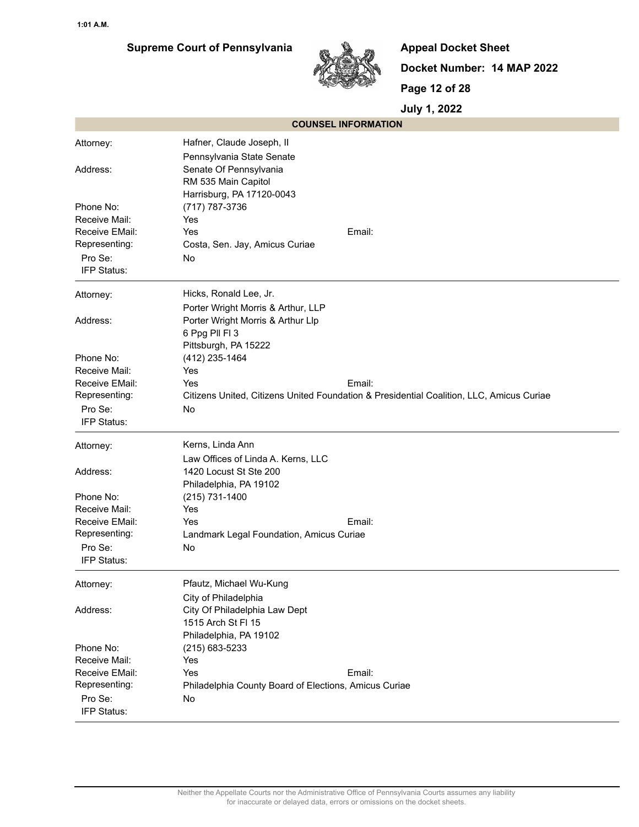

**Appeal Docket Sheet Docket Number: 14 MAP 2022 Page 12 of 28**

| <b>COUNSEL INFORMATION</b>      |                                                                                          |
|---------------------------------|------------------------------------------------------------------------------------------|
| Attorney:                       | Hafner, Claude Joseph, II                                                                |
|                                 | Pennsylvania State Senate                                                                |
| Address:                        | Senate Of Pennsylvania                                                                   |
|                                 | RM 535 Main Capitol                                                                      |
|                                 | Harrisburg, PA 17120-0043                                                                |
| Phone No:                       | (717) 787-3736                                                                           |
| Receive Mail:                   | Yes                                                                                      |
| Receive EMail:                  | Email:<br>Yes                                                                            |
| Representing:                   | Costa, Sen. Jay, Amicus Curiae                                                           |
| Pro Se:                         | No                                                                                       |
| IFP Status:                     |                                                                                          |
| Attorney:                       | Hicks, Ronald Lee, Jr.                                                                   |
|                                 | Porter Wright Morris & Arthur, LLP                                                       |
| Address:                        | Porter Wright Morris & Arthur Llp                                                        |
|                                 | 6 Ppg Pll Fl 3                                                                           |
|                                 | Pittsburgh, PA 15222                                                                     |
| Phone No:<br>Receive Mail:      | (412) 235-1464<br>Yes                                                                    |
| Receive EMail:                  | Email:<br>Yes                                                                            |
| Representing:                   | Citizens United, Citizens United Foundation & Presidential Coalition, LLC, Amicus Curiae |
| Pro Se:                         | No                                                                                       |
| IFP Status:                     |                                                                                          |
| Attorney:                       | Kerns, Linda Ann                                                                         |
|                                 | Law Offices of Linda A. Kerns, LLC                                                       |
| Address:                        | 1420 Locust St Ste 200                                                                   |
|                                 | Philadelphia, PA 19102                                                                   |
| Phone No:                       | (215) 731-1400                                                                           |
| Receive Mail:                   | Yes                                                                                      |
| Receive EMail:                  | Email:<br>Yes                                                                            |
| Representing:                   | Landmark Legal Foundation, Amicus Curiae                                                 |
| Pro Se:                         | No                                                                                       |
| IFP Status:                     |                                                                                          |
| Attorney:                       | Pfautz, Michael Wu-Kung                                                                  |
|                                 | City of Philadelphia                                                                     |
| Address:                        | City Of Philadelphia Law Dept                                                            |
|                                 | 1515 Arch St FI 15                                                                       |
|                                 | Philadelphia, PA 19102                                                                   |
| Phone No:                       | (215) 683-5233                                                                           |
| Receive Mail:                   | Yes                                                                                      |
| Receive EMail:<br>Representing: | Yes<br>Email:<br>Philadelphia County Board of Elections, Amicus Curiae                   |
| Pro Se:                         |                                                                                          |
| IFP Status:                     | No                                                                                       |
|                                 |                                                                                          |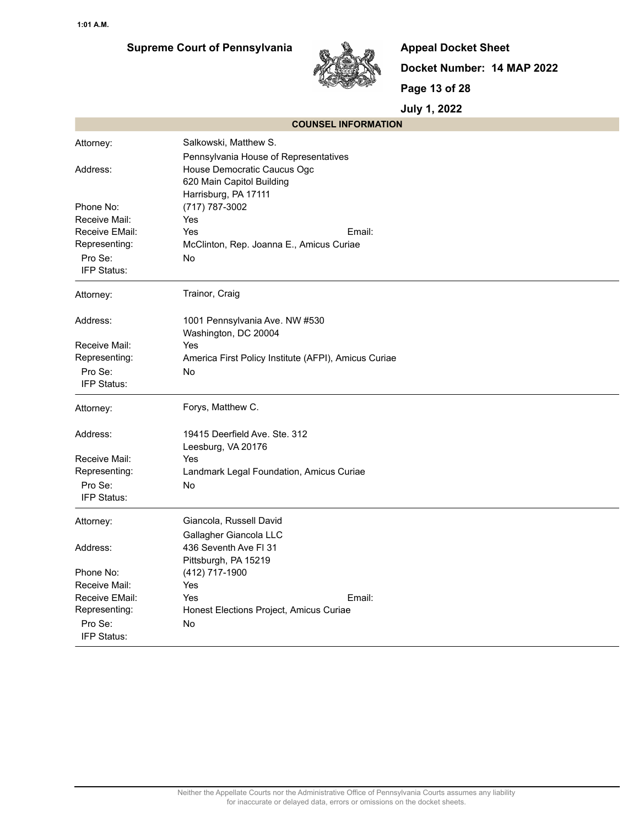## **Supreme Court of Pennsylvania**



**Appeal Docket Sheet Docket Number: 14 MAP 2022 Page 13 of 28**

|                | <b>COUNSEL INFORMATION</b>                           |  |  |
|----------------|------------------------------------------------------|--|--|
| Attorney:      | Salkowski, Matthew S.                                |  |  |
|                | Pennsylvania House of Representatives                |  |  |
| Address:       | House Democratic Caucus Ogc                          |  |  |
|                | 620 Main Capitol Building                            |  |  |
|                | Harrisburg, PA 17111                                 |  |  |
| Phone No:      | (717) 787-3002                                       |  |  |
| Receive Mail:  | Yes                                                  |  |  |
| Receive EMail: | Email:<br>Yes                                        |  |  |
| Representing:  | McClinton, Rep. Joanna E., Amicus Curiae             |  |  |
| Pro Se:        | No                                                   |  |  |
| IFP Status:    |                                                      |  |  |
| Attorney:      | Trainor, Craig                                       |  |  |
| Address:       | 1001 Pennsylvania Ave. NW #530                       |  |  |
|                | Washington, DC 20004                                 |  |  |
| Receive Mail:  | Yes                                                  |  |  |
| Representing:  | America First Policy Institute (AFPI), Amicus Curiae |  |  |
| Pro Se:        | No                                                   |  |  |
| IFP Status:    |                                                      |  |  |
| Attorney:      | Forys, Matthew C.                                    |  |  |
| Address:       | 19415 Deerfield Ave. Ste. 312                        |  |  |
|                | Leesburg, VA 20176                                   |  |  |
| Receive Mail:  | Yes                                                  |  |  |
| Representing:  | Landmark Legal Foundation, Amicus Curiae             |  |  |
| Pro Se:        | No                                                   |  |  |
| IFP Status:    |                                                      |  |  |
| Attorney:      | Giancola, Russell David                              |  |  |
|                | Gallagher Giancola LLC                               |  |  |
| Address:       | 436 Seventh Ave FI 31                                |  |  |
|                | Pittsburgh, PA 15219                                 |  |  |
| Phone No:      | (412) 717-1900                                       |  |  |
| Receive Mail:  | Yes                                                  |  |  |
| Receive EMail: | Email:<br>Yes                                        |  |  |
| Representing:  | Honest Elections Project, Amicus Curiae              |  |  |
| Pro Se:        | No                                                   |  |  |
| IFP Status:    |                                                      |  |  |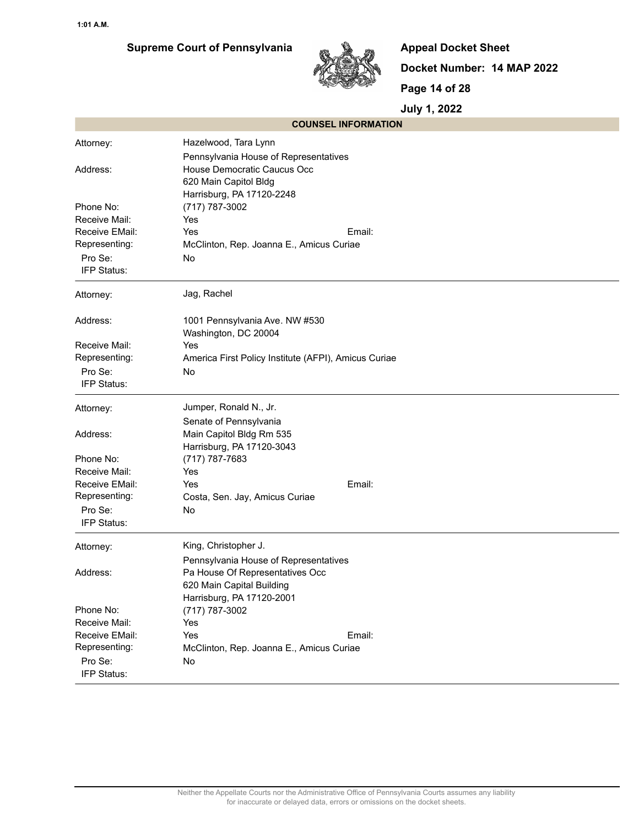

**Appeal Docket Sheet Docket Number: 14 MAP 2022 Page 14 of 28**

|                | <b>COUNSEL INFORMATION</b>                           |  |  |  |  |
|----------------|------------------------------------------------------|--|--|--|--|
| Attorney:      | Hazelwood, Tara Lynn                                 |  |  |  |  |
|                | Pennsylvania House of Representatives                |  |  |  |  |
| Address:       | House Democratic Caucus Occ                          |  |  |  |  |
|                | 620 Main Capitol Bldg                                |  |  |  |  |
|                | Harrisburg, PA 17120-2248                            |  |  |  |  |
| Phone No:      | (717) 787-3002                                       |  |  |  |  |
| Receive Mail:  | Yes                                                  |  |  |  |  |
| Receive EMail: | Email:<br>Yes                                        |  |  |  |  |
| Representing:  | McClinton, Rep. Joanna E., Amicus Curiae             |  |  |  |  |
| Pro Se:        | No                                                   |  |  |  |  |
| IFP Status:    |                                                      |  |  |  |  |
| Attorney:      | Jag, Rachel                                          |  |  |  |  |
| Address:       | 1001 Pennsylvania Ave. NW #530                       |  |  |  |  |
|                | Washington, DC 20004                                 |  |  |  |  |
| Receive Mail:  | Yes                                                  |  |  |  |  |
| Representing:  | America First Policy Institute (AFPI), Amicus Curiae |  |  |  |  |
| Pro Se:        | No                                                   |  |  |  |  |
| IFP Status:    |                                                      |  |  |  |  |
| Attorney:      | Jumper, Ronald N., Jr.                               |  |  |  |  |
|                | Senate of Pennsylvania                               |  |  |  |  |
| Address:       | Main Capitol Bldg Rm 535                             |  |  |  |  |
|                | Harrisburg, PA 17120-3043                            |  |  |  |  |
| Phone No:      | (717) 787-7683                                       |  |  |  |  |
| Receive Mail:  | Yes                                                  |  |  |  |  |
| Receive EMail: | Email:<br>Yes                                        |  |  |  |  |
| Representing:  | Costa, Sen. Jay, Amicus Curiae                       |  |  |  |  |
| Pro Se:        | No                                                   |  |  |  |  |
| IFP Status:    |                                                      |  |  |  |  |
| Attorney:      | King, Christopher J.                                 |  |  |  |  |
|                | Pennsylvania House of Representatives                |  |  |  |  |
| Address:       | Pa House Of Representatives Occ                      |  |  |  |  |
|                | 620 Main Capital Building                            |  |  |  |  |
|                | Harrisburg, PA 17120-2001                            |  |  |  |  |
| Phone No:      | (717) 787-3002                                       |  |  |  |  |
| Receive Mail:  | Yes                                                  |  |  |  |  |
| Receive EMail: | Yes<br>Email:                                        |  |  |  |  |
| Representing:  | McClinton, Rep. Joanna E., Amicus Curiae             |  |  |  |  |
| Pro Se:        | No                                                   |  |  |  |  |
| IFP Status:    |                                                      |  |  |  |  |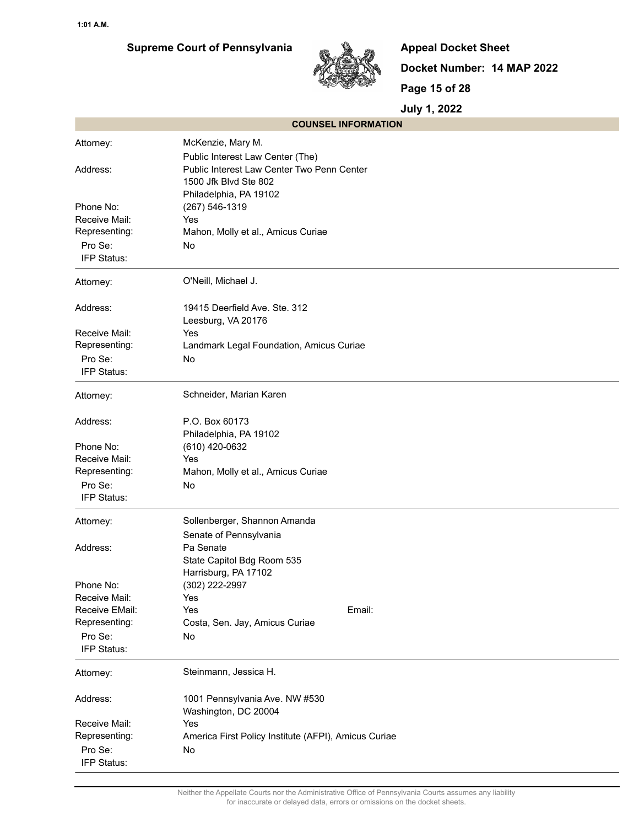

**Appeal Docket Sheet Docket Number: 14 MAP 2022 Page 15 of 28**

| <b>COUNSEL INFORMATION</b>     |                                                      |  |  |
|--------------------------------|------------------------------------------------------|--|--|
| Attorney:                      | McKenzie, Mary M.                                    |  |  |
|                                | Public Interest Law Center (The)                     |  |  |
| Address:                       | Public Interest Law Center Two Penn Center           |  |  |
|                                | 1500 Jfk Blvd Ste 802                                |  |  |
|                                | Philadelphia, PA 19102                               |  |  |
| Phone No:                      | (267) 546-1319                                       |  |  |
| Receive Mail:                  | Yes                                                  |  |  |
| Representing:                  | Mahon, Molly et al., Amicus Curiae                   |  |  |
| Pro Se:                        | No                                                   |  |  |
| IFP Status:                    |                                                      |  |  |
| Attorney:                      | O'Neill, Michael J.                                  |  |  |
| Address:                       | 19415 Deerfield Ave. Ste. 312                        |  |  |
|                                | Leesburg, VA 20176                                   |  |  |
| Receive Mail:<br>Representing: | Yes<br>Landmark Legal Foundation, Amicus Curiae      |  |  |
| Pro Se:                        | No                                                   |  |  |
| IFP Status:                    |                                                      |  |  |
|                                |                                                      |  |  |
| Attorney:                      | Schneider, Marian Karen                              |  |  |
| Address:                       | P.O. Box 60173                                       |  |  |
|                                | Philadelphia, PA 19102                               |  |  |
| Phone No:                      | (610) 420-0632                                       |  |  |
| Receive Mail:                  | Yes                                                  |  |  |
| Representing:                  | Mahon, Molly et al., Amicus Curiae                   |  |  |
| Pro Se:                        | No                                                   |  |  |
| IFP Status:                    |                                                      |  |  |
| Attorney:                      | Sollenberger, Shannon Amanda                         |  |  |
|                                | Senate of Pennsylvania                               |  |  |
| Address:                       | Pa Senate                                            |  |  |
|                                | State Capitol Bdg Room 535                           |  |  |
|                                | Harrisburg, PA 17102                                 |  |  |
| Phone No:                      | (302) 222-2997                                       |  |  |
| Receive Mail:                  | Yes                                                  |  |  |
| Receive EMail:                 | Yes<br>Email:                                        |  |  |
| Representing:                  | Costa, Sen. Jay, Amicus Curiae                       |  |  |
| Pro Se:                        | No                                                   |  |  |
| IFP Status:                    |                                                      |  |  |
| Attorney:                      | Steinmann, Jessica H.                                |  |  |
| Address:                       | 1001 Pennsylvania Ave. NW #530                       |  |  |
|                                | Washington, DC 20004                                 |  |  |
| Receive Mail:                  | Yes                                                  |  |  |
| Representing:                  | America First Policy Institute (AFPI), Amicus Curiae |  |  |
| Pro Se:                        | No                                                   |  |  |
| IFP Status:                    |                                                      |  |  |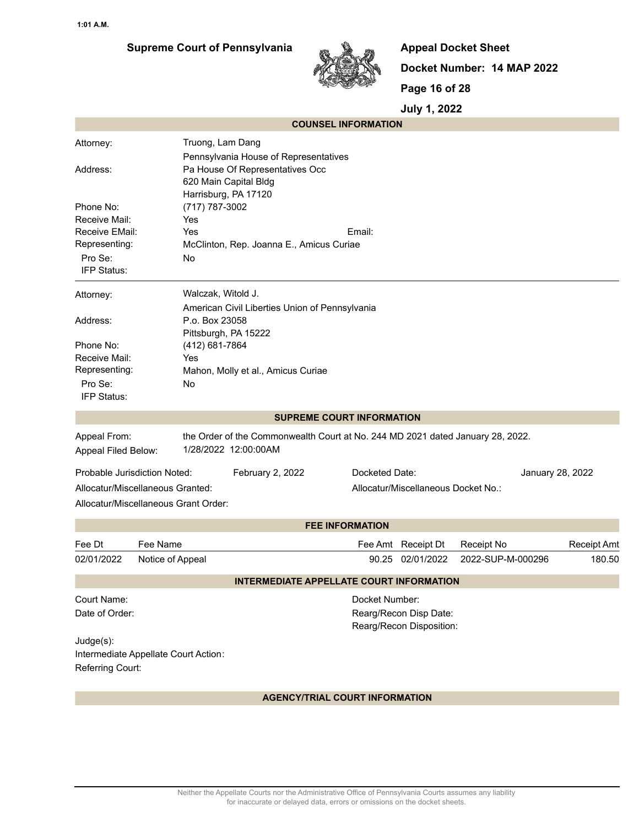## **Supreme Court of Pennsylvania**



**Appeal Docket Sheet Docket Number: 14 MAP 2022 Page 16 of 28**

**July 1, 2022**

| Truong, Lam Dang<br>Attorney:<br>Pennsylvania House of Representatives<br>Pa House Of Representatives Occ<br>Address:<br>620 Main Capital Bldg<br>Harrisburg, PA 17120                                                                             |                    |
|----------------------------------------------------------------------------------------------------------------------------------------------------------------------------------------------------------------------------------------------------|--------------------|
|                                                                                                                                                                                                                                                    |                    |
| Phone No:<br>(717) 787-3002<br>Receive Mail:<br>Yes<br>Receive EMail:<br>Yes<br>Email:<br>Representing:<br>McClinton, Rep. Joanna E., Amicus Curiae<br>Pro Se:<br>No<br>IFP Status:                                                                |                    |
| Walczak, Witold J.<br>Attorney:                                                                                                                                                                                                                    |                    |
| American Civil Liberties Union of Pennsylvania<br>P.o. Box 23058<br>Address:<br>Pittsburgh, PA 15222<br>(412) 681-7864<br>Phone No:<br>Receive Mail:<br>Yes<br>Representing:<br>Mahon, Molly et al., Amicus Curiae<br>Pro Se:<br>No<br>IFP Status: |                    |
| <b>SUPREME COURT INFORMATION</b>                                                                                                                                                                                                                   |                    |
| Appeal From:<br>the Order of the Commonwealth Court at No. 244 MD 2021 dated January 28, 2022.<br>1/28/2022 12:00:00AM<br>Appeal Filed Below:                                                                                                      |                    |
| Probable Jurisdiction Noted:<br>February 2, 2022<br>Docketed Date:<br>January 28, 2022<br>Allocatur/Miscellaneous Granted:<br>Allocatur/Miscellaneous Docket No.:<br>Allocatur/Miscellaneous Grant Order:                                          |                    |
| <b>FEE INFORMATION</b>                                                                                                                                                                                                                             |                    |
| Fee Dt<br>Fee Name<br>Receipt No<br>Fee Amt Receipt Dt                                                                                                                                                                                             | <b>Receipt Amt</b> |
| 2022-SUP-M-000296<br>02/01/2022<br>90.25 02/01/2022<br>Notice of Appeal                                                                                                                                                                            | 180.50             |
| <b>INTERMEDIATE APPELLATE COURT INFORMATION</b>                                                                                                                                                                                                    |                    |
| Court Name:<br>Docket Number:<br>Date of Order:<br>Rearg/Recon Disp Date:<br>Rearg/Recon Disposition:                                                                                                                                              |                    |
| Judge(s):<br>Intermediate Appellate Court Action:<br>Referring Court:                                                                                                                                                                              |                    |

#### **AGENCY/TRIAL COURT INFORMATION**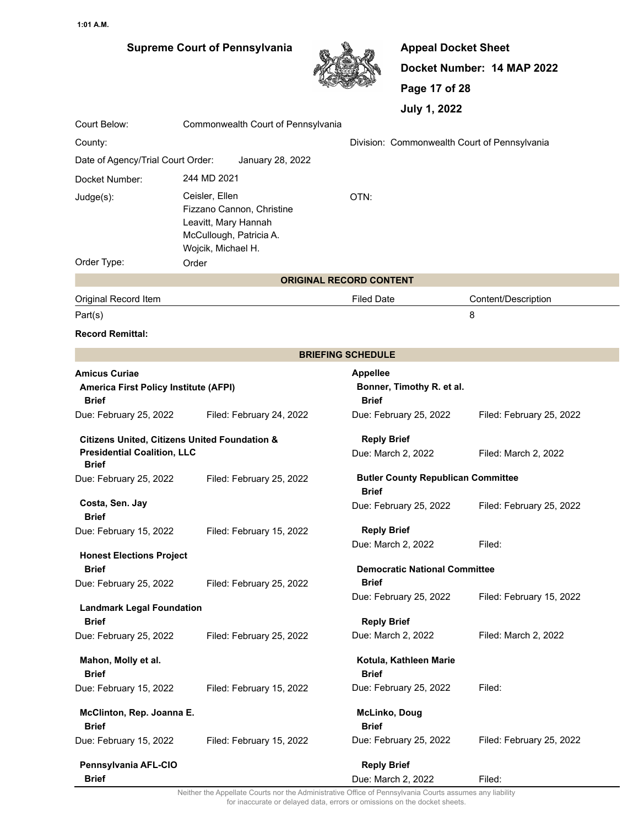## **Supreme Court of Pennsylvania**



**Appeal Docket Sheet Docket Number: 14 MAP 2022 Page 17 of 28 July 1, 2022**

| Court Below:                                                                                                   | Commonwealth Court of Pennsylvania           |                                                                              |                                                              |                          |
|----------------------------------------------------------------------------------------------------------------|----------------------------------------------|------------------------------------------------------------------------------|--------------------------------------------------------------|--------------------------|
| County:                                                                                                        | Division: Commonwealth Court of Pennsylvania |                                                                              |                                                              |                          |
| Date of Agency/Trial Court Order:                                                                              |                                              | January 28, 2022                                                             |                                                              |                          |
| Docket Number:                                                                                                 | 244 MD 2021                                  |                                                                              |                                                              |                          |
| Judge(s):                                                                                                      | Ceisler, Ellen<br>Wojcik, Michael H.         | Fizzano Cannon, Christine<br>Leavitt, Mary Hannah<br>McCullough, Patricia A. | OTN:                                                         |                          |
| Order Type:                                                                                                    | Order                                        |                                                                              |                                                              |                          |
|                                                                                                                |                                              |                                                                              | <b>ORIGINAL RECORD CONTENT</b>                               |                          |
| Original Record Item                                                                                           |                                              |                                                                              | <b>Filed Date</b>                                            | Content/Description      |
| Part(s)                                                                                                        |                                              |                                                                              |                                                              | 8                        |
| <b>Record Remittal:</b>                                                                                        |                                              |                                                                              |                                                              |                          |
|                                                                                                                |                                              |                                                                              | <b>BRIEFING SCHEDULE</b>                                     |                          |
| <b>Amicus Curiae</b><br><b>America First Policy Institute (AFPI)</b><br><b>Brief</b>                           |                                              |                                                                              | <b>Appellee</b><br>Bonner, Timothy R. et al.<br><b>Brief</b> |                          |
| Due: February 25, 2022                                                                                         |                                              | Filed: February 24, 2022                                                     | Due: February 25, 2022                                       | Filed: February 25, 2022 |
| <b>Citizens United, Citizens United Foundation &amp;</b><br><b>Presidential Coalition, LLC</b><br><b>Brief</b> |                                              |                                                                              | <b>Reply Brief</b><br>Due: March 2, 2022                     | Filed: March 2, 2022     |
| Due: February 25, 2022                                                                                         |                                              | Filed: February 25, 2022                                                     | <b>Butler County Republican Committee</b>                    |                          |
| Costa, Sen. Jay<br><b>Brief</b>                                                                                |                                              |                                                                              | <b>Brief</b><br>Due: February 25, 2022                       | Filed: February 25, 2022 |
| Due: February 15, 2022                                                                                         |                                              | Filed: February 15, 2022                                                     | <b>Reply Brief</b><br>Due: March 2, 2022                     | Filed:                   |
| <b>Honest Elections Project</b>                                                                                |                                              |                                                                              |                                                              |                          |
| <b>Brief</b><br>Due: February 25, 2022                                                                         |                                              | Filed: February 25, 2022                                                     | <b>Democratic National Committee</b><br>Brief                |                          |
| <b>Landmark Legal Foundation</b><br><b>Brief</b>                                                               |                                              |                                                                              | Due: February 25, 2022<br><b>Reply Brief</b>                 | Filed: February 15, 2022 |
| Due: February 25, 2022                                                                                         |                                              | Filed: February 25, 2022                                                     | Due: March 2, 2022                                           | Filed: March 2, 2022     |
| Mahon, Molly et al.<br><b>Brief</b>                                                                            |                                              |                                                                              | Kotula, Kathleen Marie<br><b>Brief</b>                       |                          |
| Due: February 15, 2022                                                                                         |                                              | Filed: February 15, 2022                                                     | Due: February 25, 2022                                       | Filed:                   |
| McClinton, Rep. Joanna E.<br><b>Brief</b>                                                                      |                                              |                                                                              | <b>McLinko, Doug</b><br><b>Brief</b>                         |                          |
| Due: February 15, 2022                                                                                         |                                              | Filed: February 15, 2022                                                     | Due: February 25, 2022                                       | Filed: February 25, 2022 |
| Pennsylvania AFL-CIO<br><b>Brief</b>                                                                           |                                              |                                                                              | <b>Reply Brief</b><br>Due: March 2, 2022                     | Filed:                   |

Neither the Appellate Courts nor the Administrative Office of Pennsylvania Courts assumes any liability for inaccurate or delayed data, errors or omissions on the docket sheets.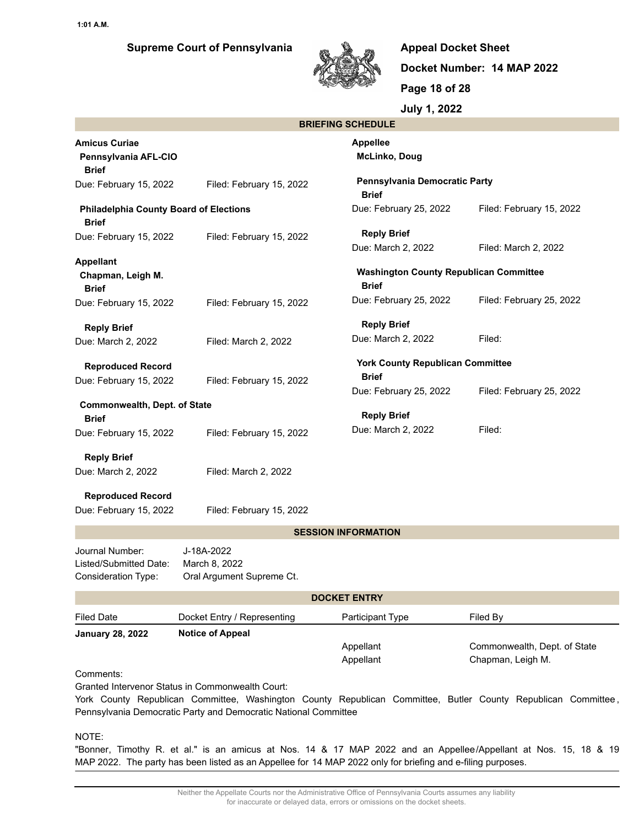

**Appeal Docket Sheet Docket Number: 14 MAP 2022 Page 18 of 28 July 1, 2022**

|                            | JUIY 1, |  |
|----------------------------|---------|--|
| <b>RDIEEING SCHEDIJI E</b> |         |  |

|                                                               |                                                                                                                     | DRIEFING SUNEDULE                                             |                                                                                                               |
|---------------------------------------------------------------|---------------------------------------------------------------------------------------------------------------------|---------------------------------------------------------------|---------------------------------------------------------------------------------------------------------------|
| <b>Amicus Curiae</b><br>Pennsylvania AFL-CIO<br><b>Brief</b>  |                                                                                                                     | <b>Appellee</b><br><b>McLinko, Doug</b>                       |                                                                                                               |
| Due: February 15, 2022                                        | Filed: February 15, 2022                                                                                            | Pennsylvania Democratic Party<br><b>Brief</b>                 |                                                                                                               |
| <b>Philadelphia County Board of Elections</b><br><b>Brief</b> |                                                                                                                     | Due: February 25, 2022                                        | Filed: February 15, 2022                                                                                      |
| Due: February 15, 2022                                        | Filed: February 15, 2022                                                                                            | <b>Reply Brief</b><br>Due: March 2, 2022                      | Filed: March 2, 2022                                                                                          |
| <b>Appellant</b><br>Chapman, Leigh M.<br><b>Brief</b>         |                                                                                                                     | <b>Washington County Republican Committee</b><br><b>Brief</b> |                                                                                                               |
| Due: February 15, 2022                                        | Filed: February 15, 2022                                                                                            | Due: February 25, 2022                                        | Filed: February 25, 2022                                                                                      |
|                                                               |                                                                                                                     | <b>Reply Brief</b>                                            |                                                                                                               |
| <b>Reply Brief</b><br>Due: March 2, 2022                      | Filed: March 2, 2022                                                                                                | Due: March 2, 2022                                            | Filed:                                                                                                        |
| <b>Reproduced Record</b>                                      |                                                                                                                     | <b>York County Republican Committee</b><br><b>Brief</b>       |                                                                                                               |
| Due: February 15, 2022                                        | Filed: February 15, 2022                                                                                            | Due: February 25, 2022                                        | Filed: February 25, 2022                                                                                      |
| Commonwealth, Dept. of State                                  |                                                                                                                     | <b>Reply Brief</b>                                            |                                                                                                               |
| <b>Brief</b>                                                  |                                                                                                                     | Due: March 2, 2022                                            | Filed:                                                                                                        |
| Due: February 15, 2022                                        | Filed: February 15, 2022                                                                                            |                                                               |                                                                                                               |
| <b>Reply Brief</b>                                            |                                                                                                                     |                                                               |                                                                                                               |
| Due: March 2, 2022                                            | Filed: March 2, 2022                                                                                                |                                                               |                                                                                                               |
| <b>Reproduced Record</b><br>Due: February 15, 2022            | Filed: February 15, 2022                                                                                            |                                                               |                                                                                                               |
|                                                               |                                                                                                                     | <b>SESSION INFORMATION</b>                                    |                                                                                                               |
| Journal Number:<br>Listed/Submitted Date:                     | J-18A-2022                                                                                                          |                                                               |                                                                                                               |
| Consideration Type:                                           | March 8, 2022<br>Oral Argument Supreme Ct.                                                                          |                                                               |                                                                                                               |
|                                                               |                                                                                                                     | <b>DOCKET ENTRY</b>                                           |                                                                                                               |
| <b>Filed Date</b>                                             | Docket Entry / Representing                                                                                         | Participant Type                                              | Filed By                                                                                                      |
| <b>January 28, 2022</b>                                       | <b>Notice of Appeal</b>                                                                                             |                                                               |                                                                                                               |
|                                                               |                                                                                                                     | Appellant<br>Appellant                                        | Commonwealth, Dept. of State<br>Chapman, Leigh M.                                                             |
| Comments:                                                     | Granted Intervenor Status in Commonwealth Court:<br>Pennsylvania Democratic Party and Democratic National Committee |                                                               | York County Republican Committee, Washington County Republican Committee, Butler County Republican Committee, |
| NIOTE-                                                        |                                                                                                                     |                                                               |                                                                                                               |

NOTE:

"Bonner, Timothy R. et al." is an amicus at Nos. 14 & 17 MAP 2022 and an Appellee/Appellant at Nos. 15, 18 & 19 MAP 2022. The party has been listed as an Appellee for 14 MAP 2022 only for briefing and e-filing purposes.

> Neither the Appellate Courts nor the Administrative Office of Pennsylvania Courts assumes any liability for inaccurate or delayed data, errors or omissions on the docket sheets.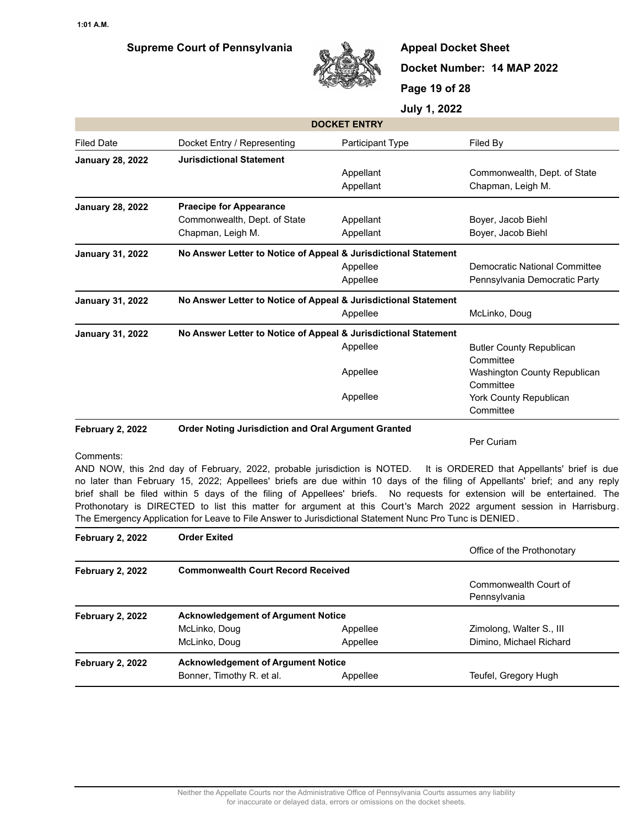

**Appeal Docket Sheet Docket Number: 14 MAP 2022 Page 19 of 28**

**July 1, 2022**

| <b>DOCKET ENTRY</b>     |                                                                 |                  |                                 |  |
|-------------------------|-----------------------------------------------------------------|------------------|---------------------------------|--|
| <b>Filed Date</b>       | Docket Entry / Representing                                     | Participant Type | Filed By                        |  |
| <b>January 28, 2022</b> | <b>Jurisdictional Statement</b>                                 |                  |                                 |  |
|                         |                                                                 | Appellant        | Commonwealth, Dept. of State    |  |
|                         |                                                                 | Appellant        | Chapman, Leigh M.               |  |
| <b>January 28, 2022</b> | <b>Praecipe for Appearance</b>                                  |                  |                                 |  |
|                         | Commonwealth, Dept. of State                                    | Appellant        | Boyer, Jacob Biehl              |  |
|                         | Chapman, Leigh M.                                               | Appellant        | Boyer, Jacob Biehl              |  |
| <b>January 31, 2022</b> | No Answer Letter to Notice of Appeal & Jurisdictional Statement |                  |                                 |  |
|                         |                                                                 | Appellee         | Democratic National Committee   |  |
|                         |                                                                 | Appellee         | Pennsylvania Democratic Party   |  |
| <b>January 31, 2022</b> | No Answer Letter to Notice of Appeal & Jurisdictional Statement |                  |                                 |  |
|                         |                                                                 | Appellee         | McLinko, Doug                   |  |
| <b>January 31, 2022</b> | No Answer Letter to Notice of Appeal & Jurisdictional Statement |                  |                                 |  |
|                         |                                                                 | Appellee         | <b>Butler County Republican</b> |  |
|                         |                                                                 |                  | Committee                       |  |
|                         |                                                                 | Appellee         | Washington County Republican    |  |
|                         |                                                                 |                  | Committee                       |  |
|                         |                                                                 | Appellee         | <b>York County Republican</b>   |  |
| Committee               |                                                                 |                  |                                 |  |
|                         |                                                                 |                  |                                 |  |

#### **February 2, 2022 Order Noting Jurisdiction and Oral Argument Granted**

Per Curiam

#### Comments:

AND NOW, this 2nd day of February, 2022, probable jurisdiction is NOTED. It is ORDERED that Appellants' brief is due no later than February 15, 2022; Appellees' briefs are due within 10 days of the filing of Appellants' brief; and any reply brief shall be filed within 5 days of the filing of Appellees' briefs. No requests for extension will be entertained. The Prothonotary is DIRECTED to list this matter for argument at this Court's March 2022 argument session in Harrisburg. The Emergency Application for Leave to File Answer to Jurisdictional Statement Nunc Pro Tunc is DENIED .

| <b>Order Exited</b>                       |          |                                                                                        |  |
|-------------------------------------------|----------|----------------------------------------------------------------------------------------|--|
|                                           |          | Office of the Prothonotary                                                             |  |
|                                           |          |                                                                                        |  |
|                                           |          | Commonwealth Court of                                                                  |  |
|                                           |          | Pennsylvania                                                                           |  |
| <b>Acknowledgement of Argument Notice</b> |          |                                                                                        |  |
| McLinko, Doug                             | Appellee | Zimolong, Walter S., III                                                               |  |
| McLinko, Doug                             | Appellee | Dimino, Michael Richard                                                                |  |
|                                           |          |                                                                                        |  |
| Bonner, Timothy R. et al.                 | Appellee | Teufel, Gregory Hugh                                                                   |  |
|                                           |          | <b>Commonwealth Court Record Received</b><br><b>Acknowledgement of Argument Notice</b> |  |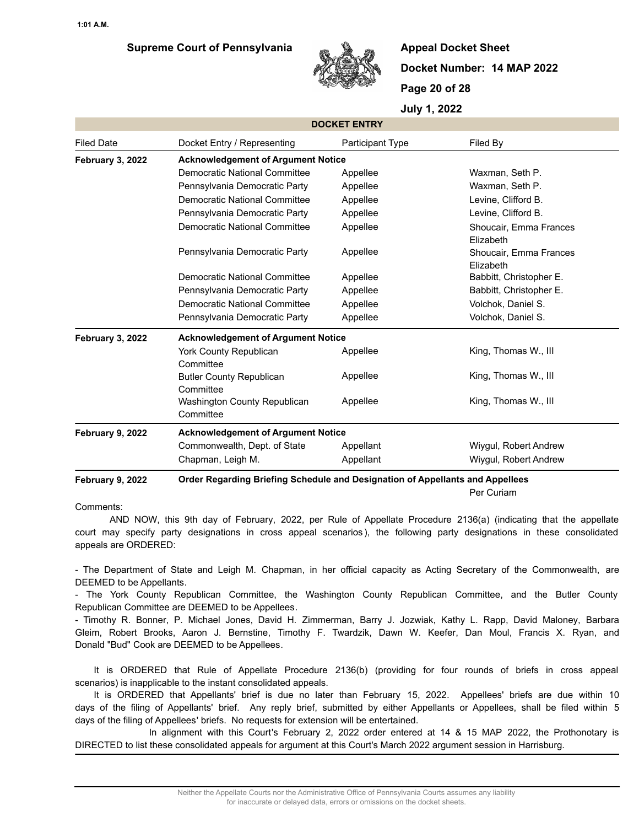

**Appeal Docket Sheet Docket Number: 14 MAP 2022 Page 20 of 28**

**July 1, 2022**

|                         |                                                                               | <b>DOCKET ENTRY</b> |                                     |  |  |
|-------------------------|-------------------------------------------------------------------------------|---------------------|-------------------------------------|--|--|
| <b>Filed Date</b>       | Docket Entry / Representing                                                   | Participant Type    | Filed By                            |  |  |
| <b>February 3, 2022</b> | <b>Acknowledgement of Argument Notice</b>                                     |                     |                                     |  |  |
|                         | Democratic National Committee                                                 | Appellee            | Waxman, Seth P.                     |  |  |
|                         | Pennsylvania Democratic Party                                                 | Appellee            | Waxman, Seth P.                     |  |  |
|                         | <b>Democratic National Committee</b>                                          | Appellee            | Levine, Clifford B.                 |  |  |
|                         | Pennsylvania Democratic Party                                                 | Appellee            | Levine, Clifford B.                 |  |  |
|                         | <b>Democratic National Committee</b>                                          | Appellee            | Shoucair, Emma Frances<br>Elizabeth |  |  |
|                         | Pennsylvania Democratic Party                                                 | Appellee            | Shoucair, Emma Frances<br>Elizabeth |  |  |
|                         | Democratic National Committee                                                 | Appellee            | Babbitt, Christopher E.             |  |  |
|                         | Pennsylvania Democratic Party                                                 | Appellee            | Babbitt, Christopher E.             |  |  |
|                         | <b>Democratic National Committee</b>                                          | Appellee            | Volchok, Daniel S.                  |  |  |
|                         | Pennsylvania Democratic Party                                                 | Appellee            | Volchok, Daniel S.                  |  |  |
| February 3, 2022        | <b>Acknowledgement of Argument Notice</b>                                     |                     |                                     |  |  |
|                         | <b>York County Republican</b><br>Committee                                    | Appellee            | King, Thomas W., III                |  |  |
|                         | <b>Butler County Republican</b><br>Committee                                  | Appellee            | King, Thomas W., III                |  |  |
|                         | Washington County Republican<br>Committee                                     | Appellee            | King, Thomas W., III                |  |  |
| February 9, 2022        | <b>Acknowledgement of Argument Notice</b>                                     |                     |                                     |  |  |
|                         | Commonwealth, Dept. of State                                                  | Appellant           | Wiygul, Robert Andrew               |  |  |
|                         | Chapman, Leigh M.                                                             | Appellant           | Wiygul, Robert Andrew               |  |  |
| February 9, 2022        | Order Regarding Briefing Schedule and Designation of Appellants and Appellees |                     |                                     |  |  |
|                         |                                                                               |                     | Per Curiam                          |  |  |

#### Comments:

 AND NOW, this 9th day of February, 2022, per Rule of Appellate Procedure 2136(a) (indicating that the appellate court may specify party designations in cross appeal scenarios ), the following party designations in these consolidated appeals are ORDERED:

- The Department of State and Leigh M. Chapman, in her official capacity as Acting Secretary of the Commonwealth, are DEEMED to be Appellants.

- The York County Republican Committee, the Washington County Republican Committee, and the Butler County Republican Committee are DEEMED to be Appellees.

- Timothy R. Bonner, P. Michael Jones, David H. Zimmerman, Barry J. Jozwiak, Kathy L. Rapp, David Maloney, Barbara Gleim, Robert Brooks, Aaron J. Bernstine, Timothy F. Twardzik, Dawn W. Keefer, Dan Moul, Francis X. Ryan, and Donald "Bud" Cook are DEEMED to be Appellees.

It is ORDERED that Rule of Appellate Procedure 2136(b) (providing for four rounds of briefs in cross appeal scenarios) is inapplicable to the instant consolidated appeals.

It is ORDERED that Appellants' brief is due no later than February 15, 2022. Appellees' briefs are due within 10 days of the filing of Appellants' brief. Any reply brief, submitted by either Appellants or Appellees, shall be filed within 5 days of the filing of Appellees' briefs. No requests for extension will be entertained.

 In alignment with this Court's February 2, 2022 order entered at 14 & 15 MAP 2022, the Prothonotary is DIRECTED to list these consolidated appeals for argument at this Court's March 2022 argument session in Harrisburg.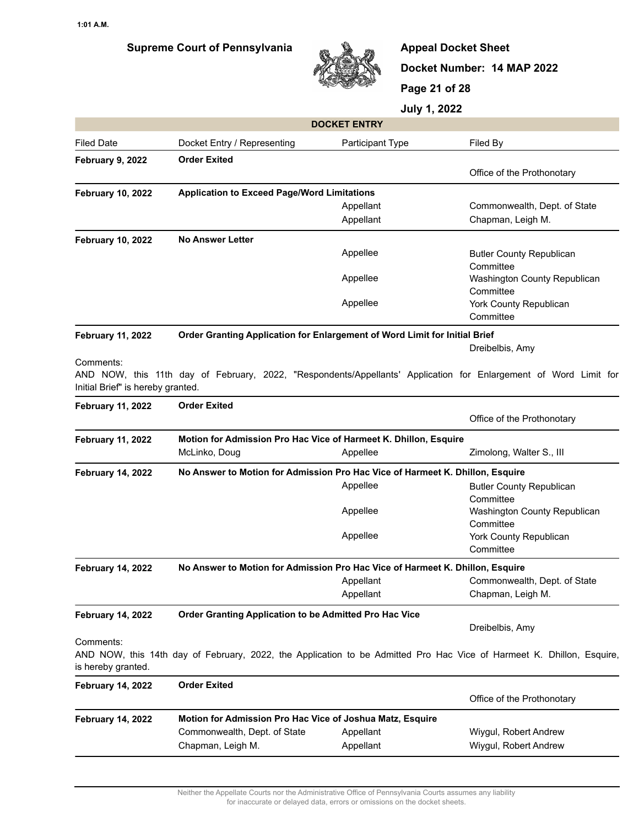

**Appeal Docket Sheet Docket Number: 14 MAP 2022 Page 21 of 28**

|                                                             |                                                                               | <b>DOCKET ENTRY</b> |                                                                                                                                          |  |  |  |
|-------------------------------------------------------------|-------------------------------------------------------------------------------|---------------------|------------------------------------------------------------------------------------------------------------------------------------------|--|--|--|
| <b>Filed Date</b>                                           | Docket Entry / Representing                                                   | Participant Type    | Filed By                                                                                                                                 |  |  |  |
| February 9, 2022                                            | <b>Order Exited</b>                                                           |                     |                                                                                                                                          |  |  |  |
|                                                             |                                                                               |                     | Office of the Prothonotary                                                                                                               |  |  |  |
| <b>February 10, 2022</b>                                    | <b>Application to Exceed Page/Word Limitations</b>                            |                     |                                                                                                                                          |  |  |  |
|                                                             |                                                                               | Appellant           | Commonwealth, Dept. of State                                                                                                             |  |  |  |
|                                                             |                                                                               | Appellant           | Chapman, Leigh M.                                                                                                                        |  |  |  |
| <b>February 10, 2022</b>                                    | <b>No Answer Letter</b>                                                       |                     |                                                                                                                                          |  |  |  |
|                                                             |                                                                               | Appellee            | <b>Butler County Republican</b>                                                                                                          |  |  |  |
|                                                             |                                                                               | Appellee            | Committee<br>Washington County Republican                                                                                                |  |  |  |
|                                                             |                                                                               | Appellee            | Committee<br>York County Republican                                                                                                      |  |  |  |
|                                                             |                                                                               |                     | Committee                                                                                                                                |  |  |  |
| <b>February 11, 2022</b>                                    | Order Granting Application for Enlargement of Word Limit for Initial Brief    |                     |                                                                                                                                          |  |  |  |
|                                                             |                                                                               |                     | Dreibelbis, Amy                                                                                                                          |  |  |  |
| Comments:<br>Initial Brief" is hereby granted.              |                                                                               |                     | AND NOW, this 11th day of February, 2022, "Respondents/Appellants' Application for Enlargement of Word Limit for                         |  |  |  |
| <b>February 11, 2022</b>                                    | <b>Order Exited</b>                                                           |                     |                                                                                                                                          |  |  |  |
|                                                             |                                                                               |                     | Office of the Prothonotary                                                                                                               |  |  |  |
| <b>February 11, 2022</b>                                    | Motion for Admission Pro Hac Vice of Harmeet K. Dhillon, Esquire              |                     |                                                                                                                                          |  |  |  |
|                                                             | McLinko, Doug                                                                 | Appellee            | Zimolong, Walter S., III                                                                                                                 |  |  |  |
| <b>February 14, 2022</b>                                    | No Answer to Motion for Admission Pro Hac Vice of Harmeet K. Dhillon, Esquire |                     |                                                                                                                                          |  |  |  |
|                                                             |                                                                               | Appellee            | <b>Butler County Republican</b>                                                                                                          |  |  |  |
|                                                             |                                                                               |                     | Committee                                                                                                                                |  |  |  |
|                                                             |                                                                               |                     |                                                                                                                                          |  |  |  |
|                                                             |                                                                               | Appellee            | Washington County Republican                                                                                                             |  |  |  |
|                                                             |                                                                               |                     | Committee                                                                                                                                |  |  |  |
|                                                             |                                                                               | Appellee            | York County Republican                                                                                                                   |  |  |  |
|                                                             |                                                                               |                     | Committee                                                                                                                                |  |  |  |
| <b>February 14, 2022</b>                                    | No Answer to Motion for Admission Pro Hac Vice of Harmeet K. Dhillon, Esquire |                     |                                                                                                                                          |  |  |  |
|                                                             |                                                                               | Appellant           | Commonwealth, Dept. of State                                                                                                             |  |  |  |
|                                                             |                                                                               | Appellant           | Chapman, Leigh M.                                                                                                                        |  |  |  |
|                                                             | Order Granting Application to be Admitted Pro Hac Vice                        |                     |                                                                                                                                          |  |  |  |
| <b>February 14, 2022</b><br>Comments:<br>is hereby granted. |                                                                               |                     | Dreibelbis, Amy<br>AND NOW, this 14th day of February, 2022, the Application to be Admitted Pro Hac Vice of Harmeet K. Dhillon, Esquire, |  |  |  |
| <b>February 14, 2022</b>                                    | <b>Order Exited</b>                                                           |                     |                                                                                                                                          |  |  |  |
|                                                             |                                                                               |                     | Office of the Prothonotary                                                                                                               |  |  |  |
|                                                             | Motion for Admission Pro Hac Vice of Joshua Matz, Esquire                     |                     |                                                                                                                                          |  |  |  |
| <b>February 14, 2022</b>                                    | Commonwealth, Dept. of State                                                  | Appellant           | Wiygul, Robert Andrew                                                                                                                    |  |  |  |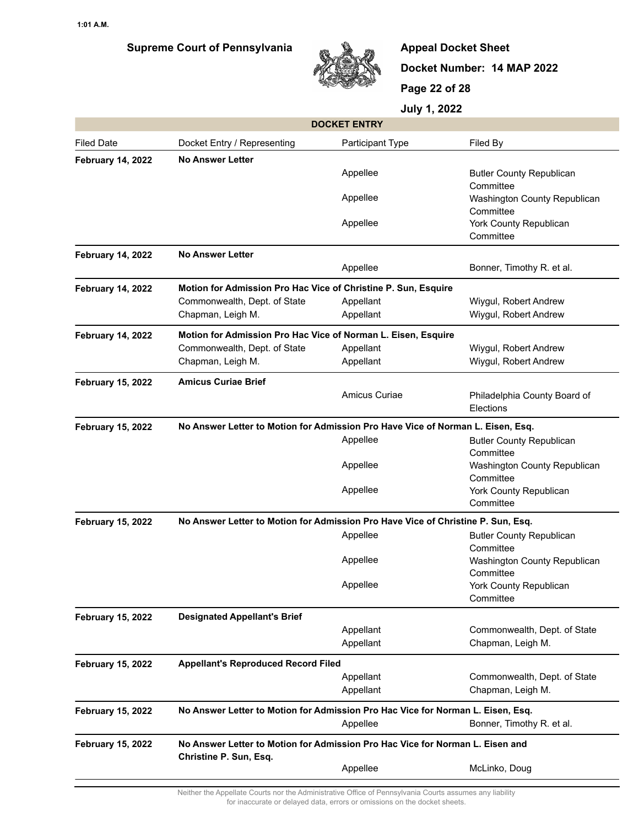

**Appeal Docket Sheet Docket Number: 14 MAP 2022 Page 22 of 28**

**July 1, 2022**

|                                                                                                                                     |                                                                                  | <b>DOCKET ENTRY</b> |                                              |  |
|-------------------------------------------------------------------------------------------------------------------------------------|----------------------------------------------------------------------------------|---------------------|----------------------------------------------|--|
| <b>Filed Date</b>                                                                                                                   | Docket Entry / Representing                                                      | Participant Type    | Filed By                                     |  |
| <b>February 14, 2022</b>                                                                                                            | <b>No Answer Letter</b>                                                          |                     |                                              |  |
|                                                                                                                                     |                                                                                  | Appellee            | <b>Butler County Republican</b><br>Committee |  |
|                                                                                                                                     |                                                                                  | Appellee            | Washington County Republican<br>Committee    |  |
|                                                                                                                                     |                                                                                  | Appellee            | York County Republican<br>Committee          |  |
| <b>February 14, 2022</b>                                                                                                            | <b>No Answer Letter</b>                                                          |                     |                                              |  |
|                                                                                                                                     |                                                                                  | Appellee            | Bonner, Timothy R. et al.                    |  |
| <b>February 14, 2022</b>                                                                                                            | Motion for Admission Pro Hac Vice of Christine P. Sun, Esquire                   |                     |                                              |  |
|                                                                                                                                     | Commonwealth, Dept. of State                                                     | Appellant           | Wiygul, Robert Andrew                        |  |
|                                                                                                                                     | Chapman, Leigh M.                                                                | Appellant           | Wiygul, Robert Andrew                        |  |
| <b>February 14, 2022</b>                                                                                                            | Motion for Admission Pro Hac Vice of Norman L. Eisen, Esquire                    |                     |                                              |  |
|                                                                                                                                     | Commonwealth, Dept. of State                                                     | Appellant           | Wiygul, Robert Andrew                        |  |
|                                                                                                                                     | Chapman, Leigh M.                                                                | Appellant           | Wiygul, Robert Andrew                        |  |
| <b>February 15, 2022</b>                                                                                                            | <b>Amicus Curiae Brief</b>                                                       |                     |                                              |  |
|                                                                                                                                     |                                                                                  | Amicus Curiae       | Philadelphia County Board of<br>Elections    |  |
| <b>February 15, 2022</b>                                                                                                            | No Answer Letter to Motion for Admission Pro Have Vice of Norman L. Eisen, Esq.  |                     |                                              |  |
|                                                                                                                                     |                                                                                  | Appellee            | <b>Butler County Republican</b><br>Committee |  |
|                                                                                                                                     |                                                                                  | Appellee            | Washington County Republican<br>Committee    |  |
|                                                                                                                                     |                                                                                  | Appellee            | York County Republican<br>Committee          |  |
| <b>February 15, 2022</b>                                                                                                            | No Answer Letter to Motion for Admission Pro Have Vice of Christine P. Sun, Esq. |                     |                                              |  |
|                                                                                                                                     |                                                                                  | Appellee            | <b>Butler County Republican</b><br>Committee |  |
|                                                                                                                                     |                                                                                  | Appellee            | Washington County Republican<br>Committee    |  |
|                                                                                                                                     |                                                                                  | Appellee            | York County Republican<br>Committee          |  |
| <b>February 15, 2022</b>                                                                                                            | <b>Designated Appellant's Brief</b>                                              |                     |                                              |  |
|                                                                                                                                     |                                                                                  | Appellant           | Commonwealth, Dept. of State                 |  |
|                                                                                                                                     |                                                                                  | Appellant           | Chapman, Leigh M.                            |  |
| <b>February 15, 2022</b>                                                                                                            | <b>Appellant's Reproduced Record Filed</b>                                       |                     |                                              |  |
|                                                                                                                                     |                                                                                  | Appellant           | Commonwealth, Dept. of State                 |  |
|                                                                                                                                     |                                                                                  | Appellant           | Chapman, Leigh M.                            |  |
| <b>February 15, 2022</b>                                                                                                            | No Answer Letter to Motion for Admission Pro Hac Vice for Norman L. Eisen, Esq.  |                     |                                              |  |
|                                                                                                                                     |                                                                                  | Appellee            | Bonner, Timothy R. et al.                    |  |
| <b>February 15, 2022</b><br>No Answer Letter to Motion for Admission Pro Hac Vice for Norman L. Eisen and<br>Christine P. Sun, Esq. |                                                                                  |                     |                                              |  |
|                                                                                                                                     |                                                                                  | Appellee            | McLinko, Doug                                |  |

Neither the Appellate Courts nor the Administrative Office of Pennsylvania Courts assumes any liability for inaccurate or delayed data, errors or omissions on the docket sheets.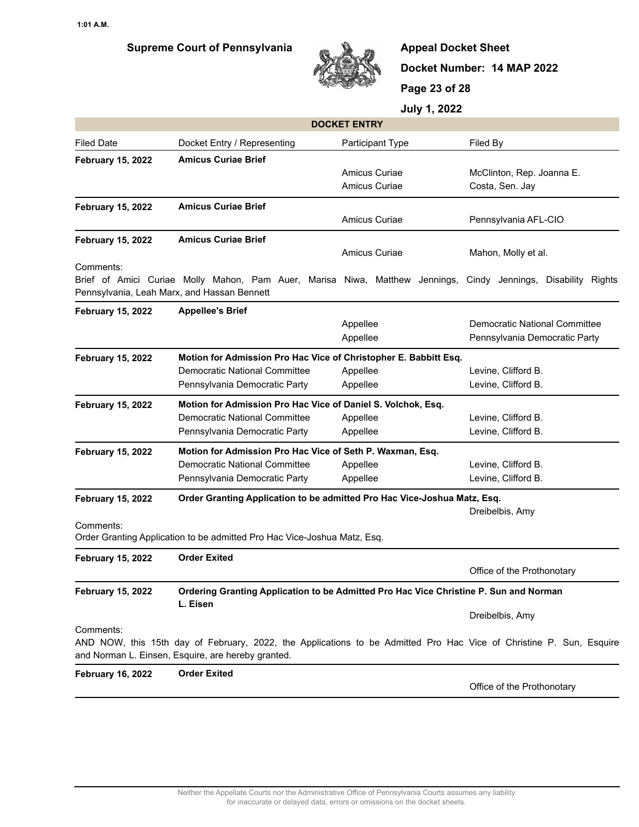

**Appeal Docket Sheet Docket Number: 14 MAP 2022 Page 23 of 28**

| <b>DOCKET ENTRY</b>                                                                                                           |                                                                                                                                                                           |                      |                               |  |
|-------------------------------------------------------------------------------------------------------------------------------|---------------------------------------------------------------------------------------------------------------------------------------------------------------------------|----------------------|-------------------------------|--|
| Filed Date                                                                                                                    | Docket Entry / Representing                                                                                                                                               | Participant Type     | Filed By                      |  |
| <b>February 15, 2022</b>                                                                                                      | <b>Amicus Curiae Brief</b>                                                                                                                                                |                      |                               |  |
|                                                                                                                               |                                                                                                                                                                           | Amicus Curiae        | McClinton, Rep. Joanna E.     |  |
|                                                                                                                               |                                                                                                                                                                           | <b>Amicus Curiae</b> | Costa, Sen. Jay               |  |
| <b>February 15, 2022</b>                                                                                                      | <b>Amicus Curiae Brief</b>                                                                                                                                                |                      |                               |  |
|                                                                                                                               |                                                                                                                                                                           | <b>Amicus Curiae</b> | Pennsylvania AFL-CIO          |  |
| <b>February 15, 2022</b>                                                                                                      | <b>Amicus Curiae Brief</b>                                                                                                                                                |                      |                               |  |
|                                                                                                                               |                                                                                                                                                                           | Amicus Curiae        | Mahon, Molly et al.           |  |
| Comments:                                                                                                                     |                                                                                                                                                                           |                      |                               |  |
|                                                                                                                               | Brief of Amici Curiae Molly Mahon, Pam Auer, Marisa Niwa, Matthew Jennings, Cindy Jennings, Disability Rights<br>Pennsylvania, Leah Marx, and Hassan Bennett              |                      |                               |  |
| <b>February 15, 2022</b>                                                                                                      | <b>Appellee's Brief</b>                                                                                                                                                   |                      |                               |  |
|                                                                                                                               |                                                                                                                                                                           | Appellee             | Democratic National Committee |  |
|                                                                                                                               |                                                                                                                                                                           | Appellee             | Pennsylvania Democratic Party |  |
| <b>February 15, 2022</b>                                                                                                      | Motion for Admission Pro Hac Vice of Christopher E. Babbitt Esq.                                                                                                          |                      |                               |  |
|                                                                                                                               | <b>Democratic National Committee</b>                                                                                                                                      | Appellee             | Levine, Clifford B.           |  |
|                                                                                                                               | Pennsylvania Democratic Party                                                                                                                                             | Appellee             | Levine, Clifford B.           |  |
| <b>February 15, 2022</b>                                                                                                      | Motion for Admission Pro Hac Vice of Daniel S. Volchok, Esq.                                                                                                              |                      |                               |  |
|                                                                                                                               | <b>Democratic National Committee</b>                                                                                                                                      | Appellee             | Levine, Clifford B.           |  |
|                                                                                                                               | Pennsylvania Democratic Party                                                                                                                                             | Appellee             | Levine, Clifford B.           |  |
| <b>February 15, 2022</b>                                                                                                      | Motion for Admission Pro Hac Vice of Seth P. Waxman, Esq.                                                                                                                 |                      |                               |  |
|                                                                                                                               | Democratic National Committee                                                                                                                                             | Appellee             | Levine, Clifford B.           |  |
|                                                                                                                               | Pennsylvania Democratic Party                                                                                                                                             | Appellee             | Levine, Clifford B.           |  |
| <b>February 15, 2022</b>                                                                                                      | Order Granting Application to be admitted Pro Hac Vice-Joshua Matz, Esq.                                                                                                  |                      |                               |  |
|                                                                                                                               |                                                                                                                                                                           |                      | Dreibelbis, Amy               |  |
| Comments:                                                                                                                     |                                                                                                                                                                           |                      |                               |  |
|                                                                                                                               | Order Granting Application to be admitted Pro Hac Vice-Joshua Matz, Esq.                                                                                                  |                      |                               |  |
| <b>February 15, 2022</b>                                                                                                      | <b>Order Exited</b>                                                                                                                                                       |                      |                               |  |
|                                                                                                                               |                                                                                                                                                                           |                      | Office of the Prothonotary    |  |
| <b>February 15, 2022</b><br>Ordering Granting Application to be Admitted Pro Hac Vice Christine P. Sun and Norman<br>L. Eisen |                                                                                                                                                                           |                      |                               |  |
|                                                                                                                               |                                                                                                                                                                           |                      | Dreibelbis, Amy               |  |
| Comments:                                                                                                                     | AND NOW, this 15th day of February, 2022, the Applications to be Admitted Pro Hac Vice of Christine P. Sun, Esquire<br>and Norman L. Einsen, Esquire, are hereby granted. |                      |                               |  |
| <b>February 16, 2022</b>                                                                                                      | <b>Order Exited</b>                                                                                                                                                       |                      |                               |  |
|                                                                                                                               |                                                                                                                                                                           |                      | Office of the Prothonotary    |  |
|                                                                                                                               |                                                                                                                                                                           |                      |                               |  |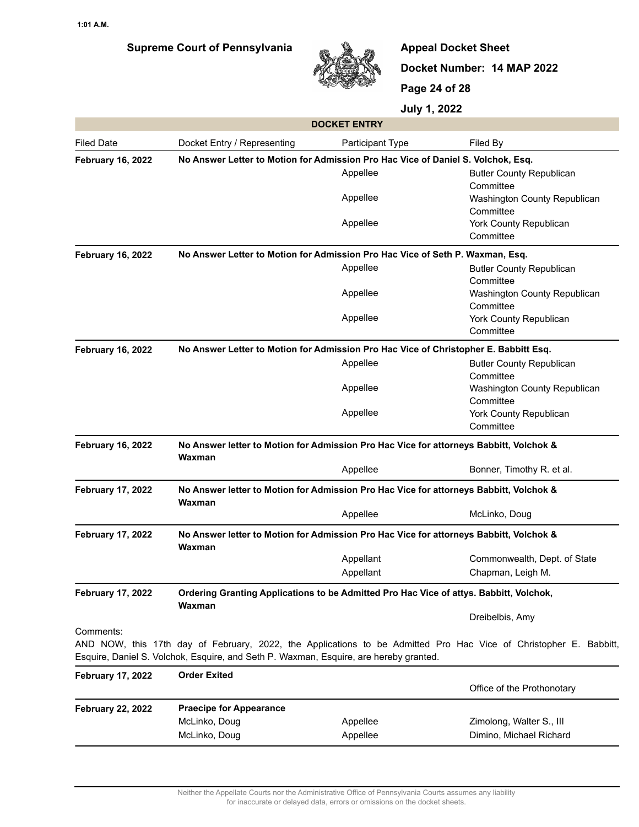

**Appeal Docket Sheet Docket Number: 14 MAP 2022 Page 24 of 28**

| <b>DOCKET ENTRY</b>      |                                                                                                  |                  |                                                                                                                   |  |
|--------------------------|--------------------------------------------------------------------------------------------------|------------------|-------------------------------------------------------------------------------------------------------------------|--|
| Filed Date               | Docket Entry / Representing                                                                      | Participant Type | Filed By                                                                                                          |  |
| <b>February 16, 2022</b> | No Answer Letter to Motion for Admission Pro Hac Vice of Daniel S. Volchok, Esq.                 |                  |                                                                                                                   |  |
|                          |                                                                                                  | Appellee         | <b>Butler County Republican</b><br>Committee                                                                      |  |
|                          |                                                                                                  | Appellee         | Washington County Republican<br>Committee                                                                         |  |
|                          |                                                                                                  | Appellee         | York County Republican<br>Committee                                                                               |  |
| <b>February 16, 2022</b> | No Answer Letter to Motion for Admission Pro Hac Vice of Seth P. Waxman, Esq.                    |                  |                                                                                                                   |  |
|                          |                                                                                                  | Appellee         | <b>Butler County Republican</b><br>Committee                                                                      |  |
|                          |                                                                                                  | Appellee         | Washington County Republican<br>Committee                                                                         |  |
|                          |                                                                                                  | Appellee         | York County Republican<br>Committee                                                                               |  |
| <b>February 16, 2022</b> | No Answer Letter to Motion for Admission Pro Hac Vice of Christopher E. Babbitt Esq.             |                  |                                                                                                                   |  |
|                          |                                                                                                  | Appellee         | <b>Butler County Republican</b><br>Committee                                                                      |  |
|                          |                                                                                                  | Appellee         | Washington County Republican<br>Committee                                                                         |  |
|                          |                                                                                                  | Appellee         | York County Republican<br>Committee                                                                               |  |
| <b>February 16, 2022</b> | No Answer letter to Motion for Admission Pro Hac Vice for attorneys Babbitt, Volchok &<br>Waxman |                  |                                                                                                                   |  |
|                          |                                                                                                  | Appellee         | Bonner, Timothy R. et al.                                                                                         |  |
| <b>February 17, 2022</b> | No Answer letter to Motion for Admission Pro Hac Vice for attorneys Babbitt, Volchok &<br>Waxman |                  |                                                                                                                   |  |
|                          |                                                                                                  | Appellee         | McLinko, Doug                                                                                                     |  |
| <b>February 17, 2022</b> | No Answer letter to Motion for Admission Pro Hac Vice for attorneys Babbitt, Volchok &<br>Waxman |                  |                                                                                                                   |  |
|                          |                                                                                                  | Appellant        | Commonwealth, Dept. of State                                                                                      |  |
|                          |                                                                                                  | Appellant        | Chapman, Leigh M.                                                                                                 |  |
| <b>February 17, 2022</b> | Ordering Granting Applications to be Admitted Pro Hac Vice of attys. Babbitt, Volchok,<br>Waxman |                  |                                                                                                                   |  |
|                          |                                                                                                  |                  | Dreibelbis, Amy                                                                                                   |  |
| Comments:                | Esquire, Daniel S. Volchok, Esquire, and Seth P. Waxman, Esquire, are hereby granted.            |                  | AND NOW, this 17th day of February, 2022, the Applications to be Admitted Pro Hac Vice of Christopher E. Babbitt, |  |
| <b>February 17, 2022</b> | <b>Order Exited</b>                                                                              |                  | Office of the Prothonotary                                                                                        |  |
|                          |                                                                                                  |                  |                                                                                                                   |  |
| <b>February 22, 2022</b> | <b>Praecipe for Appearance</b><br>McLinko, Doug                                                  | Appellee         | Zimolong, Walter S., III                                                                                          |  |
|                          | McLinko, Doug                                                                                    | Appellee         | Dimino, Michael Richard                                                                                           |  |
|                          |                                                                                                  |                  |                                                                                                                   |  |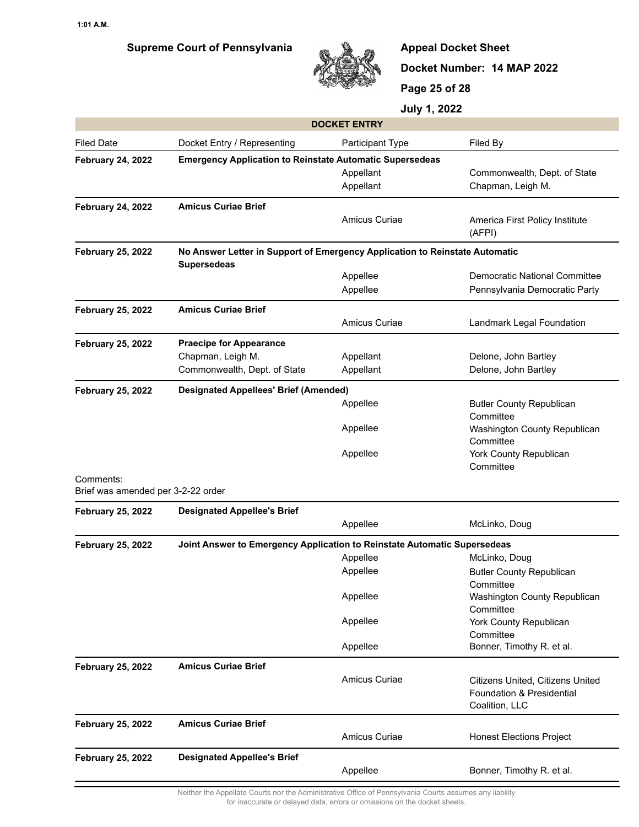

**Appeal Docket Sheet Docket Number: 14 MAP 2022 Page 25 of 28**

**July 1, 2022**

| <b>DOCKET ENTRY</b>                                                                         |                                                                                                   |                      |                                              |  |  |
|---------------------------------------------------------------------------------------------|---------------------------------------------------------------------------------------------------|----------------------|----------------------------------------------|--|--|
| <b>Filed Date</b>                                                                           | Docket Entry / Representing                                                                       | Participant Type     | Filed By                                     |  |  |
| <b>Emergency Application to Reinstate Automatic Supersedeas</b><br><b>February 24, 2022</b> |                                                                                                   |                      |                                              |  |  |
|                                                                                             |                                                                                                   | Appellant            | Commonwealth, Dept. of State                 |  |  |
|                                                                                             |                                                                                                   | Appellant            | Chapman, Leigh M.                            |  |  |
| <b>February 24, 2022</b>                                                                    | <b>Amicus Curiae Brief</b>                                                                        |                      |                                              |  |  |
|                                                                                             |                                                                                                   | Amicus Curiae        | America First Policy Institute<br>(AFPI)     |  |  |
| <b>February 25, 2022</b>                                                                    | No Answer Letter in Support of Emergency Application to Reinstate Automatic<br><b>Supersedeas</b> |                      |                                              |  |  |
|                                                                                             |                                                                                                   | Appellee             | Democratic National Committee                |  |  |
|                                                                                             |                                                                                                   | Appellee             | Pennsylvania Democratic Party                |  |  |
| <b>February 25, 2022</b>                                                                    | <b>Amicus Curiae Brief</b>                                                                        |                      |                                              |  |  |
|                                                                                             |                                                                                                   | Amicus Curiae        | Landmark Legal Foundation                    |  |  |
| <b>February 25, 2022</b>                                                                    | <b>Praecipe for Appearance</b>                                                                    |                      |                                              |  |  |
|                                                                                             | Chapman, Leigh M.                                                                                 | Appellant            | Delone, John Bartley                         |  |  |
|                                                                                             | Commonwealth, Dept. of State                                                                      | Appellant            | Delone, John Bartley                         |  |  |
| <b>February 25, 2022</b>                                                                    | <b>Designated Appellees' Brief (Amended)</b>                                                      |                      |                                              |  |  |
|                                                                                             |                                                                                                   | Appellee             | <b>Butler County Republican</b><br>Committee |  |  |
|                                                                                             |                                                                                                   | Appellee             | Washington County Republican<br>Committee    |  |  |
|                                                                                             |                                                                                                   | Appellee             | York County Republican<br>Committee          |  |  |
| Comments:<br>Brief was amended per 3-2-22 order                                             |                                                                                                   |                      |                                              |  |  |
| <b>February 25, 2022</b>                                                                    | <b>Designated Appellee's Brief</b>                                                                |                      |                                              |  |  |
|                                                                                             |                                                                                                   | Appellee             | McLinko, Doug                                |  |  |
| <b>February 25, 2022</b>                                                                    | Joint Answer to Emergency Application to Reinstate Automatic Supersedeas                          |                      |                                              |  |  |
|                                                                                             |                                                                                                   | Appellee             | McLinko, Doug                                |  |  |
|                                                                                             |                                                                                                   | Appellee             | <b>Butler County Republican</b><br>Committee |  |  |
|                                                                                             |                                                                                                   | Appellee             | Washington County Republican                 |  |  |
|                                                                                             |                                                                                                   |                      | Committee                                    |  |  |
|                                                                                             |                                                                                                   | Appellee             | York County Republican<br>Committee          |  |  |
|                                                                                             |                                                                                                   | Appellee             | Bonner, Timothy R. et al.                    |  |  |
| <b>February 25, 2022</b>                                                                    | <b>Amicus Curiae Brief</b>                                                                        |                      |                                              |  |  |
|                                                                                             |                                                                                                   | <b>Amicus Curiae</b> | Citizens United, Citizens United             |  |  |
|                                                                                             |                                                                                                   |                      | Foundation & Presidential                    |  |  |
|                                                                                             |                                                                                                   |                      | Coalition, LLC                               |  |  |
| <b>February 25, 2022</b>                                                                    | <b>Amicus Curiae Brief</b>                                                                        |                      |                                              |  |  |
|                                                                                             |                                                                                                   | Amicus Curiae        | <b>Honest Elections Project</b>              |  |  |
| <b>February 25, 2022</b>                                                                    | <b>Designated Appellee's Brief</b>                                                                |                      |                                              |  |  |
|                                                                                             |                                                                                                   | Appellee             | Bonner, Timothy R. et al.                    |  |  |

Neither the Appellate Courts nor the Administrative Office of Pennsylvania Courts assumes any liability for inaccurate or delayed data, errors or omissions on the docket sheets.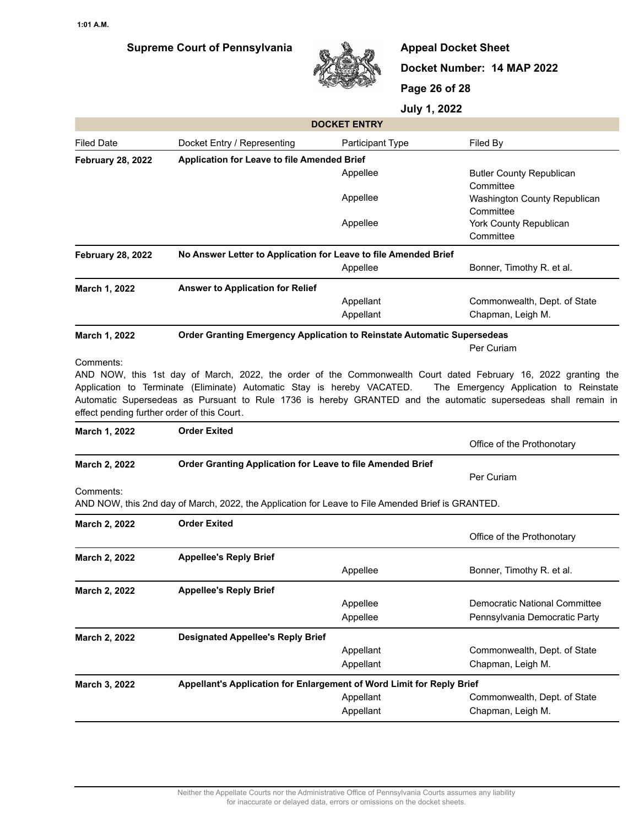

**Appeal Docket Sheet Docket Number: 14 MAP 2022 Page 26 of 28**

|                                             |                                                                                                   | <b>DOCKET ENTRY</b>    |                                                                                                                                                          |  |  |
|---------------------------------------------|---------------------------------------------------------------------------------------------------|------------------------|----------------------------------------------------------------------------------------------------------------------------------------------------------|--|--|
| <b>Filed Date</b>                           | Docket Entry / Representing                                                                       | Participant Type       | Filed By                                                                                                                                                 |  |  |
| <b>February 28, 2022</b>                    | Application for Leave to file Amended Brief                                                       |                        |                                                                                                                                                          |  |  |
|                                             |                                                                                                   | Appellee               | <b>Butler County Republican</b><br>Committee                                                                                                             |  |  |
|                                             |                                                                                                   | Appellee               | Washington County Republican<br>Committee                                                                                                                |  |  |
|                                             |                                                                                                   | Appellee               | York County Republican<br>Committee                                                                                                                      |  |  |
| <b>February 28, 2022</b>                    | No Answer Letter to Application for Leave to file Amended Brief                                   |                        |                                                                                                                                                          |  |  |
|                                             |                                                                                                   | Appellee               | Bonner, Timothy R. et al.                                                                                                                                |  |  |
| March 1, 2022                               | <b>Answer to Application for Relief</b>                                                           |                        |                                                                                                                                                          |  |  |
|                                             |                                                                                                   | Appellant              | Commonwealth, Dept. of State                                                                                                                             |  |  |
|                                             |                                                                                                   | Appellant              | Chapman, Leigh M.                                                                                                                                        |  |  |
| March 1, 2022                               | Order Granting Emergency Application to Reinstate Automatic Supersedeas                           |                        |                                                                                                                                                          |  |  |
|                                             |                                                                                                   |                        | Per Curiam                                                                                                                                               |  |  |
|                                             | Application to Terminate (Eliminate) Automatic Stay is hereby VACATED.                            |                        | AND NOW, this 1st day of March, 2022, the order of the Commonwealth Court dated February 16, 2022 granting the<br>The Emergency Application to Reinstate |  |  |
| effect pending further order of this Court. |                                                                                                   |                        | Automatic Supersedeas as Pursuant to Rule 1736 is hereby GRANTED and the automatic supersedeas shall remain in                                           |  |  |
| March 1, 2022                               | <b>Order Exited</b>                                                                               |                        | Office of the Prothonotary                                                                                                                               |  |  |
| March 2, 2022                               | Order Granting Application for Leave to file Amended Brief                                        |                        |                                                                                                                                                          |  |  |
|                                             |                                                                                                   |                        | Per Curiam                                                                                                                                               |  |  |
| Comments:                                   | AND NOW, this 2nd day of March, 2022, the Application for Leave to File Amended Brief is GRANTED. |                        |                                                                                                                                                          |  |  |
| March 2, 2022                               | <b>Order Exited</b>                                                                               |                        |                                                                                                                                                          |  |  |
|                                             |                                                                                                   |                        | Office of the Prothonotary                                                                                                                               |  |  |
| March 2, 2022                               | <b>Appellee's Reply Brief</b>                                                                     |                        |                                                                                                                                                          |  |  |
|                                             |                                                                                                   | Appellee               | Bonner, Timothy R. et al.                                                                                                                                |  |  |
| March 2, 2022                               | <b>Appellee's Reply Brief</b>                                                                     |                        |                                                                                                                                                          |  |  |
|                                             |                                                                                                   | Appellee               | Democratic National Committee                                                                                                                            |  |  |
|                                             |                                                                                                   | Appellee               | Pennsylvania Democratic Party                                                                                                                            |  |  |
| March 2, 2022                               | <b>Designated Appellee's Reply Brief</b>                                                          |                        |                                                                                                                                                          |  |  |
|                                             |                                                                                                   | Appellant              | Commonwealth, Dept. of State                                                                                                                             |  |  |
|                                             |                                                                                                   | Appellant              | Chapman, Leigh M.                                                                                                                                        |  |  |
| March 3, 2022                               | Appellant's Application for Enlargement of Word Limit for Reply Brief                             |                        |                                                                                                                                                          |  |  |
|                                             |                                                                                                   | Appellant<br>Appellant | Commonwealth, Dept. of State<br>Chapman, Leigh M.                                                                                                        |  |  |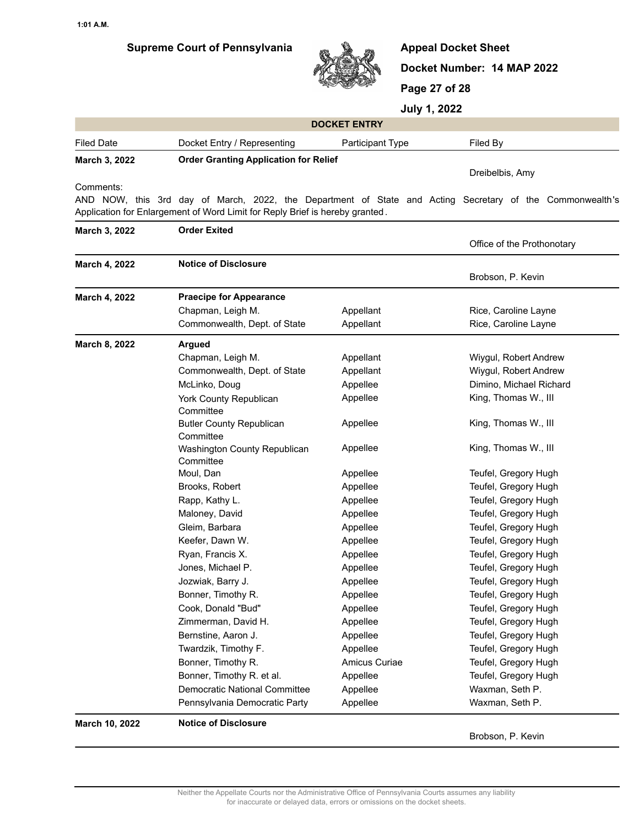

**Appeal Docket Sheet Docket Number: 14 MAP 2022 Page 27 of 28**

**July 1, 2022**

| <b>DOCKET ENTRY</b>                                                          |                                                                                                          |                         |                            |  |  |
|------------------------------------------------------------------------------|----------------------------------------------------------------------------------------------------------|-------------------------|----------------------------|--|--|
| <b>Filed Date</b>                                                            | Docket Entry / Representing                                                                              | <b>Participant Type</b> | Filed By                   |  |  |
| March 3, 2022                                                                | <b>Order Granting Application for Relief</b>                                                             |                         |                            |  |  |
|                                                                              |                                                                                                          |                         | Dreibelbis, Amy            |  |  |
| Comments:                                                                    |                                                                                                          |                         |                            |  |  |
|                                                                              | AND NOW, this 3rd day of March, 2022, the Department of State and Acting Secretary of the Commonwealth's |                         |                            |  |  |
| Application for Enlargement of Word Limit for Reply Brief is hereby granted. |                                                                                                          |                         |                            |  |  |
| March 3, 2022                                                                | <b>Order Exited</b>                                                                                      |                         |                            |  |  |
|                                                                              |                                                                                                          |                         | Office of the Prothonotary |  |  |

| March 4, 2022  | <b>Notice of Disclosure</b>                  |               |                         |  |
|----------------|----------------------------------------------|---------------|-------------------------|--|
|                |                                              |               | Brobson, P. Kevin       |  |
| March 4, 2022  | <b>Praecipe for Appearance</b>               |               |                         |  |
|                | Chapman, Leigh M.                            | Appellant     | Rice, Caroline Layne    |  |
|                | Commonwealth, Dept. of State                 | Appellant     | Rice, Caroline Layne    |  |
| March 8, 2022  | <b>Argued</b>                                |               |                         |  |
|                | Chapman, Leigh M.                            | Appellant     | Wiygul, Robert Andrew   |  |
|                | Commonwealth, Dept. of State                 | Appellant     | Wiygul, Robert Andrew   |  |
|                | McLinko, Doug                                | Appellee      | Dimino, Michael Richard |  |
|                | York County Republican<br>Committee          | Appellee      | King, Thomas W., III    |  |
|                | <b>Butler County Republican</b><br>Committee | Appellee      | King, Thomas W., III    |  |
|                | Washington County Republican<br>Committee    | Appellee      | King, Thomas W., III    |  |
|                | Moul, Dan                                    | Appellee      | Teufel, Gregory Hugh    |  |
|                | Brooks, Robert                               | Appellee      | Teufel, Gregory Hugh    |  |
|                | Rapp, Kathy L.                               | Appellee      | Teufel, Gregory Hugh    |  |
|                | Maloney, David                               | Appellee      | Teufel, Gregory Hugh    |  |
|                | Gleim, Barbara                               | Appellee      | Teufel, Gregory Hugh    |  |
|                | Keefer, Dawn W.                              | Appellee      | Teufel, Gregory Hugh    |  |
|                | Ryan, Francis X.                             | Appellee      | Teufel, Gregory Hugh    |  |
|                | Jones, Michael P.                            | Appellee      | Teufel, Gregory Hugh    |  |
|                | Jozwiak, Barry J.                            | Appellee      | Teufel, Gregory Hugh    |  |
|                | Bonner, Timothy R.                           | Appellee      | Teufel, Gregory Hugh    |  |
|                | Cook, Donald "Bud"                           | Appellee      | Teufel, Gregory Hugh    |  |
|                | Zimmerman, David H.                          | Appellee      | Teufel, Gregory Hugh    |  |
|                | Bernstine, Aaron J.                          | Appellee      | Teufel, Gregory Hugh    |  |
|                | Twardzik, Timothy F.                         | Appellee      | Teufel, Gregory Hugh    |  |
|                | Bonner, Timothy R.                           | Amicus Curiae | Teufel, Gregory Hugh    |  |
|                | Bonner, Timothy R. et al.                    | Appellee      | Teufel, Gregory Hugh    |  |
|                | <b>Democratic National Committee</b>         | Appellee      | Waxman, Seth P.         |  |
|                | Pennsylvania Democratic Party                | Appellee      | Waxman, Seth P.         |  |
| March 10, 2022 | <b>Notice of Disclosure</b>                  |               |                         |  |
|                |                                              |               | Brobson, P. Kevin       |  |

Neither the Appellate Courts nor the Administrative Office of Pennsylvania Courts assumes any liability for inaccurate or delayed data, errors or omissions on the docket sheets.